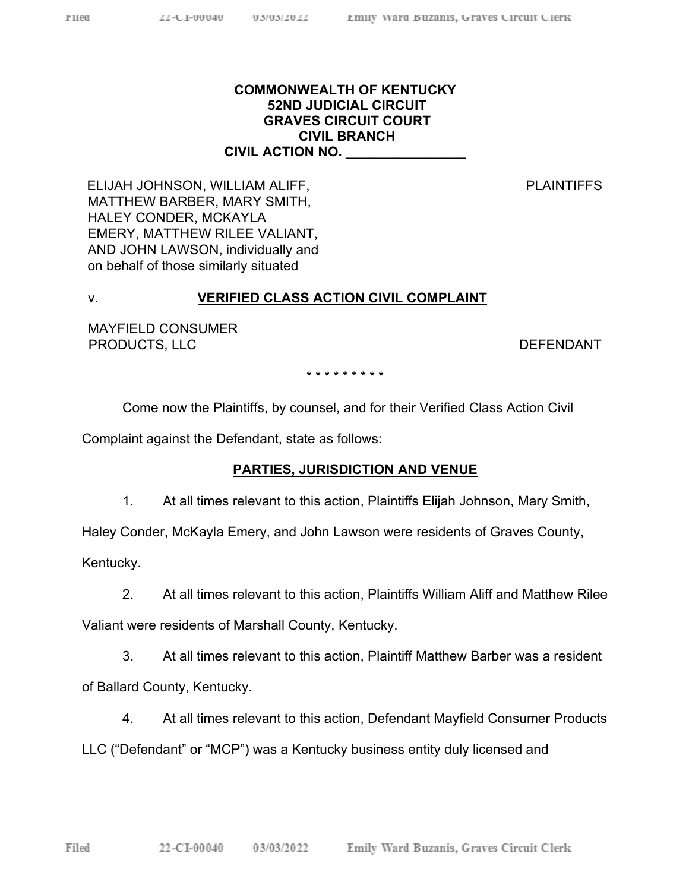### **COMMONWEALTH OF KENTUCKY 52ND JUDICIAL CIRCUIT GRAVES CIRCUIT COURT CIVIL BRANCH CIVIL ACTION NO. \_\_\_\_\_\_\_\_\_\_\_\_\_\_\_\_**

PLAINTIFFS

ELIJAH JOHNSON, WILLIAM ALIFF, MATTHEW BARBER, MARY SMITH, HALEY CONDER, MCKAYLA EMERY, MATTHEW RILEE VALIANT, AND JOHN LAWSON, individually and on behalf of those similarly situated

### v. **VERIFIED CLASS ACTION CIVIL COMPLAINT**

MAYFIELD CONSUMER PRODUCTS, LLC DEFENDANT

\* \* \* \* \* \* \* \* \*

Come now the Plaintiffs, by counsel, and for their Verified Class Action Civil

Complaint against the Defendant, state as follows:

### **PARTIES, JURISDICTION AND VENUE**

1. At all times relevant to this action, Plaintiffs Elijah Johnson, Mary Smith,

Haley Conder, McKayla Emery, and John Lawson were residents of Graves County,

Kentucky.

2. At all times relevant to this action, Plaintiffs William Aliff and Matthew Rilee

Valiant were residents of Marshall County, Kentucky.

3. At all times relevant to this action, Plaintiff Matthew Barber was a resident

of Ballard County, Kentucky.

4. At all times relevant to this action, Defendant Mayfield Consumer Products

LLC ("Defendant" or "MCP") was a Kentucky business entity duly licensed and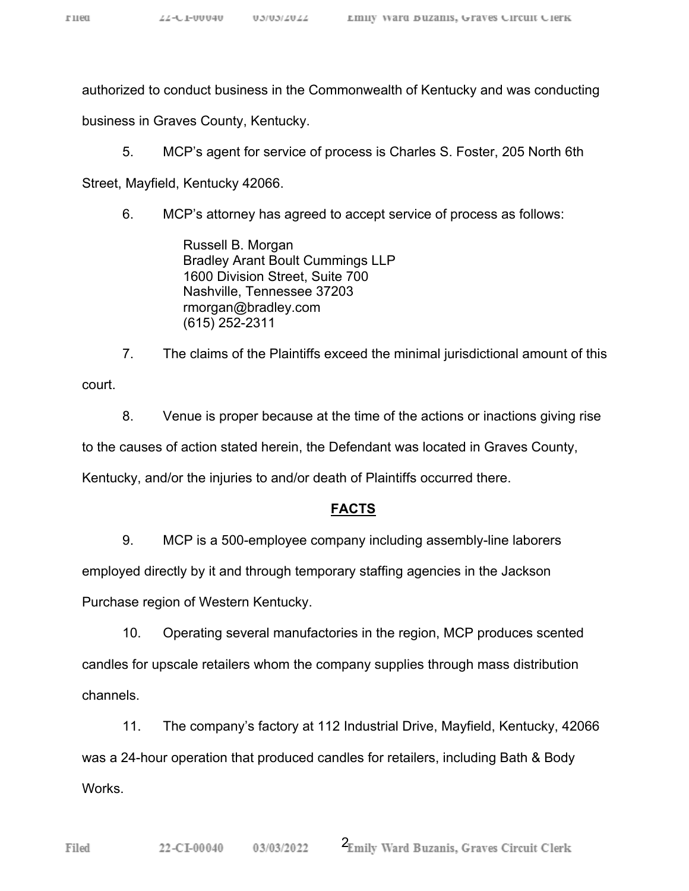authorized to conduct business in the Commonwealth of Kentucky and was conducting

business in Graves County, Kentucky.

5. MCP's agent for service of process is Charles S. Foster, 205 North 6th

Street, Mayfield, Kentucky 42066.

6. MCP's attorney has agreed to accept service of process as follows:

Russell B. Morgan Bradley Arant Boult Cummings LLP 1600 Division Street, Suite 700 Nashville, Tennessee 37203 rmorgan@bradley.com (615) 252-2311

7. The claims of the Plaintiffs exceed the minimal jurisdictional amount of this court.

8. Venue is proper because at the time of the actions or inactions giving rise to the causes of action stated herein, the Defendant was located in Graves County, Kentucky, and/or the injuries to and/or death of Plaintiffs occurred there.

#### **FACTS**

9. MCP is a 500-employee company including assembly-line laborers

employed directly by it and through temporary staffing agencies in the Jackson

Purchase region of Western Kentucky.

10. Operating several manufactories in the region, MCP produces scented candles for upscale retailers whom the company supplies through mass distribution channels.

11. The company's factory at 112 Industrial Drive, Mayfield, Kentucky, 42066 was a 24-hour operation that produced candles for retailers, including Bath & Body Works.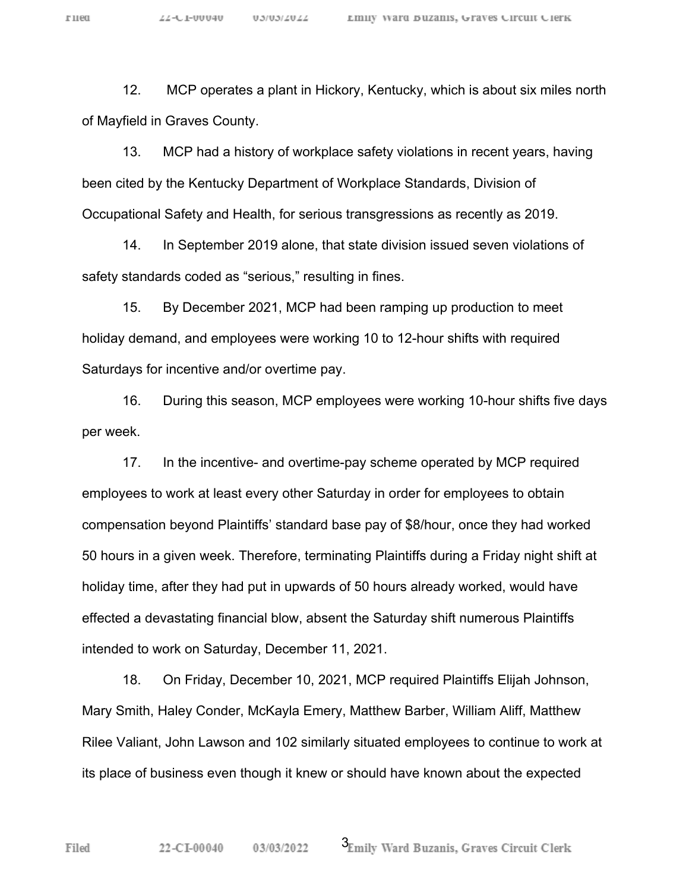гиеа

12. MCP operates a plant in Hickory, Kentucky, which is about six miles north of Mayfield in Graves County.

13. MCP had a history of workplace safety violations in recent years, having been cited by the Kentucky Department of Workplace Standards, Division of Occupational Safety and Health, for serious transgressions as recently as 2019.

14. In September 2019 alone, that state division issued seven violations of safety standards coded as "serious," resulting in fines.

15. By December 2021, MCP had been ramping up production to meet holiday demand, and employees were working 10 to 12-hour shifts with required Saturdays for incentive and/or overtime pay.

16. During this season, MCP employees were working 10-hour shifts five days per week.

17. In the incentive- and overtime-pay scheme operated by MCP required employees to work at least every other Saturday in order for employees to obtain compensation beyond Plaintiffs' standard base pay of \$8/hour, once they had worked 50 hours in a given week. Therefore, terminating Plaintiffs during a Friday night shift at holiday time, after they had put in upwards of 50 hours already worked, would have effected a devastating financial blow, absent the Saturday shift numerous Plaintiffs intended to work on Saturday, December 11, 2021.

18. On Friday, December 10, 2021, MCP required Plaintiffs Elijah Johnson, Mary Smith, Haley Conder, McKayla Emery, Matthew Barber, William Aliff, Matthew Rilee Valiant, John Lawson and 102 similarly situated employees to continue to work at its place of business even though it knew or should have known about the expected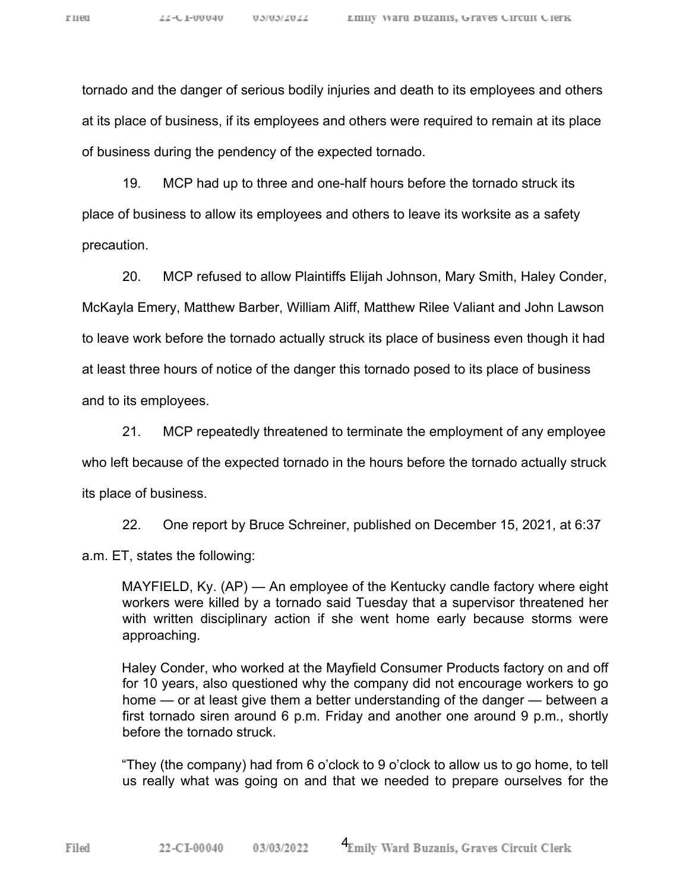tornado and the danger of serious bodily injuries and death to its employees and others at its place of business, if its employees and others were required to remain at its place of business during the pendency of the expected tornado.

19. MCP had up to three and one-half hours before the tornado struck its place of business to allow its employees and others to leave its worksite as a safety precaution.

20. MCP refused to allow Plaintiffs Elijah Johnson, Mary Smith, Haley Conder, McKayla Emery, Matthew Barber, William Aliff, Matthew Rilee Valiant and John Lawson to leave work before the tornado actually struck its place of business even though it had at least three hours of notice of the danger this tornado posed to its place of business and to its employees.

21. MCP repeatedly threatened to terminate the employment of any employee who left because of the expected tornado in the hours before the tornado actually struck its place of business.

22. One report by Bruce Schreiner, published on December 15, 2021, at 6:37

a.m. ET, states the following:

Filed

MAYFIELD, Ky. (AP) — An employee of the Kentucky candle factory where eight workers were killed by a tornado said Tuesday that a supervisor threatened her with written disciplinary action if she went home early because storms were approaching.

Haley Conder, who worked at the Mayfield Consumer Products factory on and off for 10 years, also questioned why the company did not encourage workers to go home — or at least give them a better understanding of the danger — between a first tornado siren around 6 p.m. Friday and another one around 9 p.m., shortly before the tornado struck.

"They (the company) had from 6 o'clock to 9 o'clock to allow us to go home, to tell us really what was going on and that we needed to prepare ourselves for the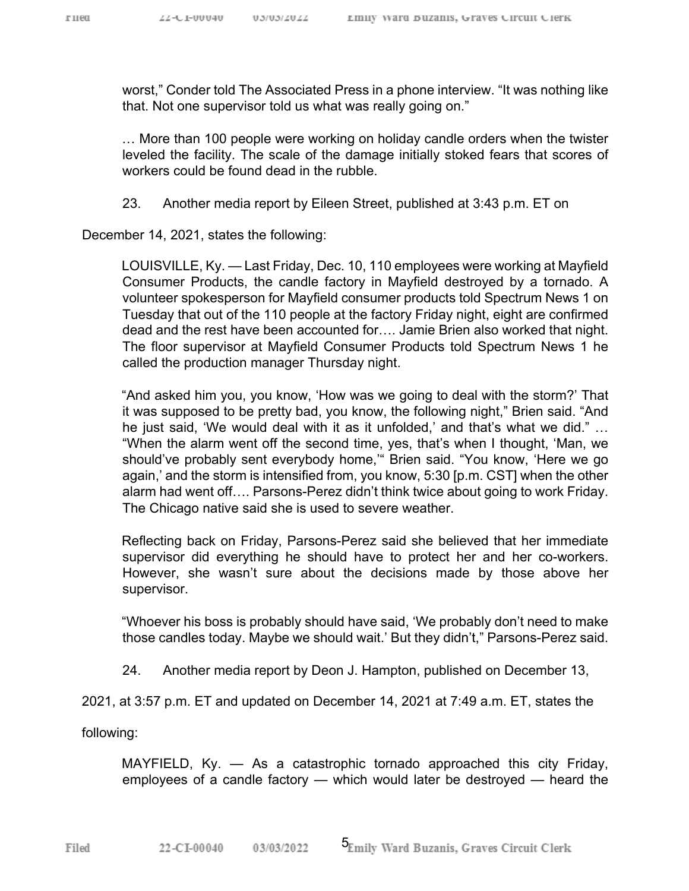worst," Conder told The Associated Press in a phone interview. "It was nothing like that. Not one supervisor told us what was really going on."

… More than 100 people were working on holiday candle orders when the twister leveled the facility. The scale of the damage initially stoked fears that scores of workers could be found dead in the rubble.

23. Another media report by Eileen Street, published at 3:43 p.m. ET on

December 14, 2021, states the following:

LOUISVILLE, Ky. — Last Friday, Dec. 10, 110 employees were working at Mayfield Consumer Products, the candle factory in Mayfield destroyed by a tornado. A volunteer spokesperson for Mayfield consumer products told Spectrum News 1 on Tuesday that out of the 110 people at the factory Friday night, eight are confirmed dead and the rest have been accounted for…. Jamie Brien also worked that night. The floor supervisor at Mayfield Consumer Products told Spectrum News 1 he called the production manager Thursday night.

"And asked him you, you know, 'How was we going to deal with the storm?' That it was supposed to be pretty bad, you know, the following night," Brien said. "And he just said, 'We would deal with it as it unfolded,' and that's what we did." … "When the alarm went off the second time, yes, that's when I thought, 'Man, we should've probably sent everybody home,'" Brien said. "You know, 'Here we go again,' and the storm is intensified from, you know, 5:30 [p.m. CST] when the other alarm had went off…. Parsons-Perez didn't think twice about going to work Friday. The Chicago native said she is used to severe weather.

Reflecting back on Friday, Parsons-Perez said she believed that her immediate supervisor did everything he should have to protect her and her co-workers. However, she wasn't sure about the decisions made by those above her supervisor.

"Whoever his boss is probably should have said, 'We probably don't need to make those candles today. Maybe we should wait.' But they didn't," Parsons-Perez said.

24. Another media report by Deon J. Hampton, published on December 13,

2021, at 3:57 p.m. ET and updated on December 14, 2021 at 7:49 a.m. ET, states the

following:

MAYFIELD, Ky. — As a catastrophic tornado approached this city Friday, employees of a candle factory — which would later be destroyed — heard the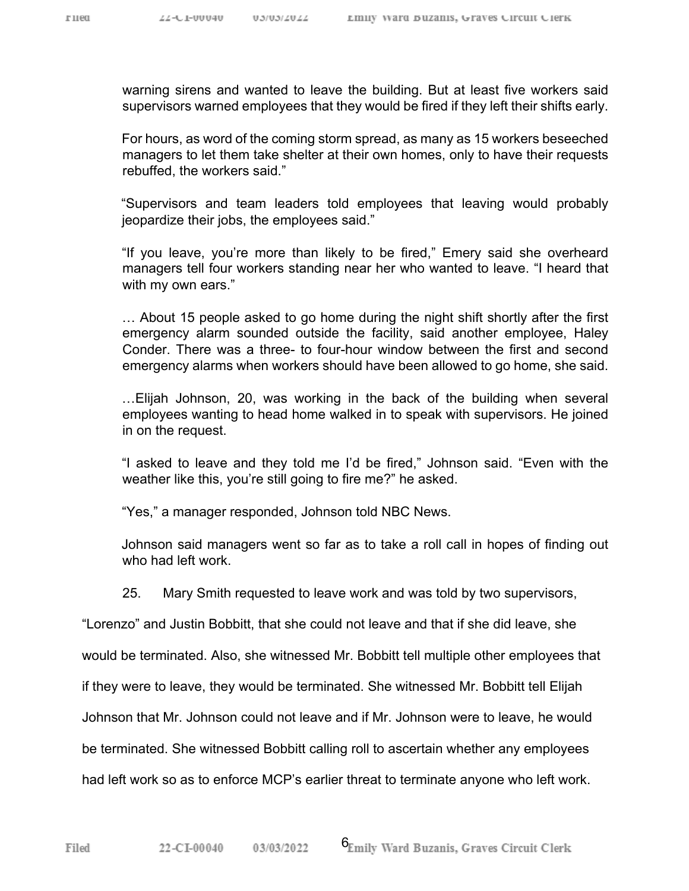Filed

warning sirens and wanted to leave the building. But at least five workers said supervisors warned employees that they would be fired if they left their shifts early.

For hours, as word of the coming storm spread, as many as 15 workers beseeched managers to let them take shelter at their own homes, only to have their requests rebuffed, the workers said."

"Supervisors and team leaders told employees that leaving would probably jeopardize their jobs, the employees said."

"If you leave, you're more than likely to be fired," Emery said she overheard managers tell four workers standing near her who wanted to leave. "I heard that with my own ears."

… About 15 people asked to go home during the night shift shortly after the first emergency alarm sounded outside the facility, said another employee, Haley Conder. There was a three- to four-hour window between the first and second emergency alarms when workers should have been allowed to go home, she said.

…Elijah Johnson, 20, was working in the back of the building when several employees wanting to head home walked in to speak with supervisors. He joined in on the request.

"I asked to leave and they told me I'd be fired," Johnson said. "Even with the weather like this, you're still going to fire me?" he asked.

"Yes," a manager responded, Johnson told NBC News.

Johnson said managers went so far as to take a roll call in hopes of finding out who had left work.

25. Mary Smith requested to leave work and was told by two supervisors,

"Lorenzo" and Justin Bobbitt, that she could not leave and that if she did leave, she

would be terminated. Also, she witnessed Mr. Bobbitt tell multiple other employees that

if they were to leave, they would be terminated. She witnessed Mr. Bobbitt tell Elijah

Johnson that Mr. Johnson could not leave and if Mr. Johnson were to leave, he would

be terminated. She witnessed Bobbitt calling roll to ascertain whether any employees

had left work so as to enforce MCP's earlier threat to terminate anyone who left work.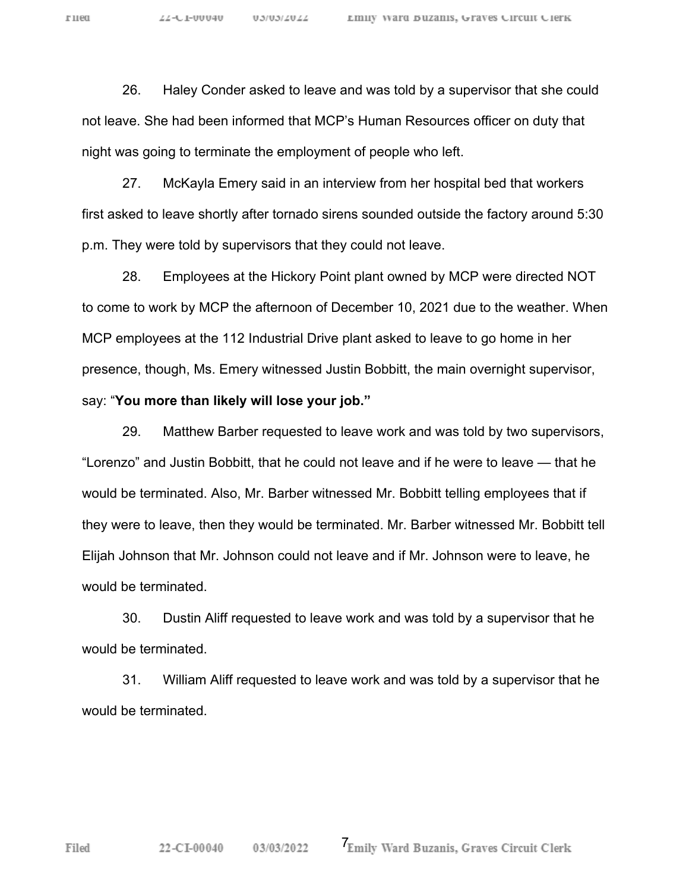26. Haley Conder asked to leave and was told by a supervisor that she could not leave. She had been informed that MCP's Human Resources officer on duty that night was going to terminate the employment of people who left.

27. McKayla Emery said in an interview from her hospital bed that workers first asked to leave shortly after tornado sirens sounded outside the factory around 5:30 p.m. They were told by supervisors that they could not leave.

28. Employees at the Hickory Point plant owned by MCP were directed NOT to come to work by MCP the afternoon of December 10, 2021 due to the weather. When MCP employees at the 112 Industrial Drive plant asked to leave to go home in her presence, though, Ms. Emery witnessed Justin Bobbitt, the main overnight supervisor, say: "**You more than likely will lose your job."**

29. Matthew Barber requested to leave work and was told by two supervisors, "Lorenzo" and Justin Bobbitt, that he could not leave and if he were to leave — that he would be terminated. Also, Mr. Barber witnessed Mr. Bobbitt telling employees that if they were to leave, then they would be terminated. Mr. Barber witnessed Mr. Bobbitt tell Elijah Johnson that Mr. Johnson could not leave and if Mr. Johnson were to leave, he would be terminated.

30. Dustin Aliff requested to leave work and was told by a supervisor that he would be terminated.

31. William Aliff requested to leave work and was told by a supervisor that he would be terminated.

Filed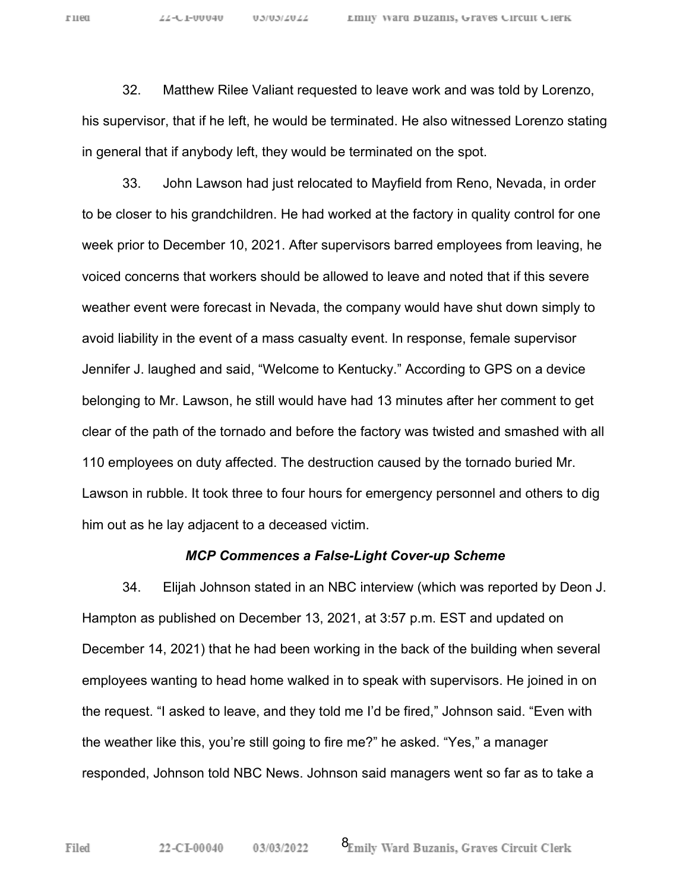32. Matthew Rilee Valiant requested to leave work and was told by Lorenzo, his supervisor, that if he left, he would be terminated. He also witnessed Lorenzo stating in general that if anybody left, they would be terminated on the spot.

33. John Lawson had just relocated to Mayfield from Reno, Nevada, in order to be closer to his grandchildren. He had worked at the factory in quality control for one week prior to December 10, 2021. After supervisors barred employees from leaving, he voiced concerns that workers should be allowed to leave and noted that if this severe weather event were forecast in Nevada, the company would have shut down simply to avoid liability in the event of a mass casualty event. In response, female supervisor Jennifer J. laughed and said, "Welcome to Kentucky." According to GPS on a device belonging to Mr. Lawson, he still would have had 13 minutes after her comment to get clear of the path of the tornado and before the factory was twisted and smashed with all 110 employees on duty affected. The destruction caused by the tornado buried Mr. Lawson in rubble. It took three to four hours for emergency personnel and others to dig him out as he lay adjacent to a deceased victim.

#### *MCP Commences a False-Light Cover-up Scheme*

34. Elijah Johnson stated in an NBC interview (which was reported by Deon J. Hampton as published on December 13, 2021, at 3:57 p.m. EST and updated on December 14, 2021) that he had been working in the back of the building when several employees wanting to head home walked in to speak with supervisors. He joined in on the request. "I asked to leave, and they told me I'd be fired," Johnson said. "Even with the weather like this, you're still going to fire me?" he asked. "Yes," a manager responded, Johnson told NBC News. Johnson said managers went so far as to take a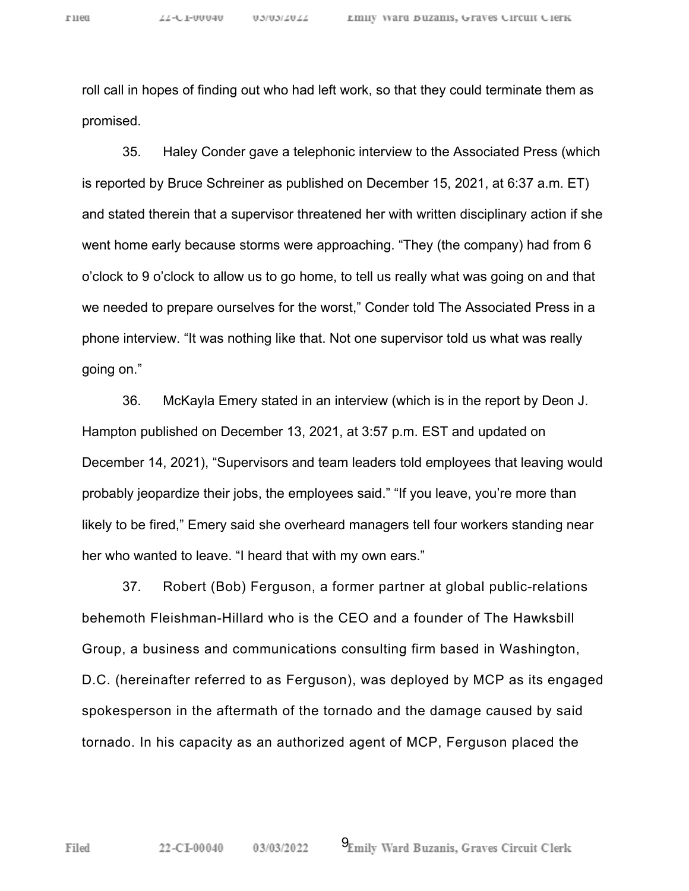roll call in hopes of finding out who had left work, so that they could terminate them as promised.

35. Haley Conder gave a telephonic interview to the Associated Press (which is reported by Bruce Schreiner as published on December 15, 2021, at 6:37 a.m. ET) and stated therein that a supervisor threatened her with written disciplinary action if she went home early because storms were approaching. "They (the company) had from 6 o'clock to 9 o'clock to allow us to go home, to tell us really what was going on and that we needed to prepare ourselves for the worst," Conder told The Associated Press in a phone interview. "It was nothing like that. Not one supervisor told us what was really going on."

36. McKayla Emery stated in an interview (which is in the report by Deon J. Hampton published on December 13, 2021, at 3:57 p.m. EST and updated on December 14, 2021), "Supervisors and team leaders told employees that leaving would probably jeopardize their jobs, the employees said." "If you leave, you're more than likely to be fired," Emery said she overheard managers tell four workers standing near her who wanted to leave. "I heard that with my own ears."

37. Robert (Bob) Ferguson, a former partner at global public-relations behemoth Fleishman-Hillard who is the CEO and a founder of The Hawksbill Group, a business and communications consulting firm based in Washington, D.C. (hereinafter referred to as Ferguson), was deployed by MCP as its engaged spokesperson in the aftermath of the tornado and the damage caused by said tornado. In his capacity as an authorized agent of MCP, Ferguson placed the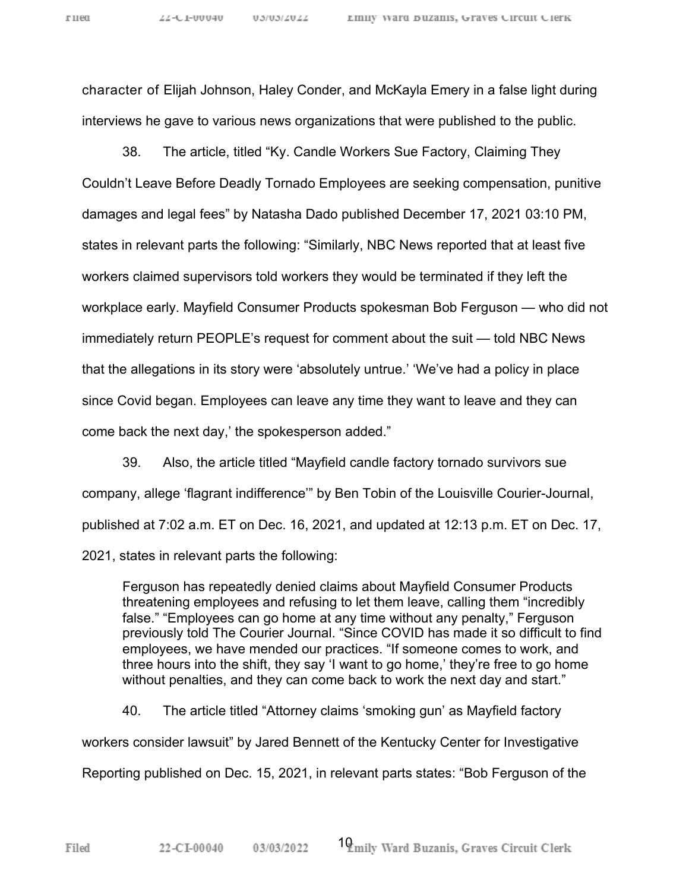character of Elijah Johnson, Haley Conder, and McKayla Emery in a false light during interviews he gave to various news organizations that were published to the public.

38. The article, titled "Ky. Candle Workers Sue Factory, Claiming They Couldn't Leave Before Deadly Tornado Employees are seeking compensation, punitive damages and legal fees" by Natasha Dado published December 17, 2021 03:10 PM, states in relevant parts the following: "Similarly, NBC News reported that at least five workers claimed supervisors told workers they would be terminated if they left the workplace early. Mayfield Consumer Products spokesman Bob Ferguson — who did not immediately return PEOPLE's request for comment about the suit — told NBC News that the allegations in its story were 'absolutely untrue.' 'We've had a policy in place since Covid began. Employees can leave any time they want to leave and they can come back the next day,' the spokesperson added."

39. Also, the article titled "Mayfield candle factory tornado survivors sue company, allege 'flagrant indifference'" by Ben Tobin of the Louisville Courier-Journal, published at 7:02 a.m. ET on Dec. 16, 2021, and updated at 12:13 p.m. ET on Dec. 17, 2021, states in relevant parts the following:

Ferguson has repeatedly denied claims about Mayfield Consumer Products threatening employees and refusing to let them leave, calling them "incredibly false." "Employees can go home at any time without any penalty," Ferguson previously told The Courier Journal. "Since COVID has made it so difficult to find employees, we have mended our practices. "If someone comes to work, and three hours into the shift, they say 'I want to go home,' they're free to go home without penalties, and they can come back to work the next day and start."

40. The article titled "Attorney claims 'smoking gun' as Mayfield factory workers consider lawsuit" by Jared Bennett of the Kentucky Center for Investigative Reporting published on Dec. 15, 2021, in relevant parts states: "Bob Ferguson of the

Filed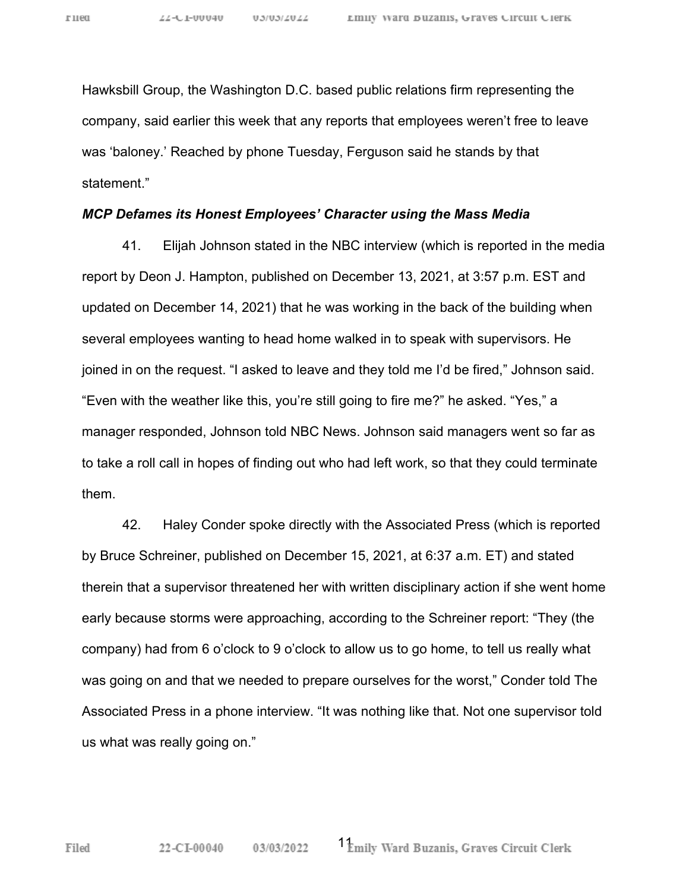Hawksbill Group, the Washington D.C. based public relations firm representing the company, said earlier this week that any reports that employees weren't free to leave was 'baloney.' Reached by phone Tuesday, Ferguson said he stands by that statement."

#### *MCP Defames its Honest Employees' Character using the Mass Media*

41. Elijah Johnson stated in the NBC interview (which is reported in the media report by Deon J. Hampton, published on December 13, 2021, at 3:57 p.m. EST and updated on December 14, 2021) that he was working in the back of the building when several employees wanting to head home walked in to speak with supervisors. He joined in on the request. "I asked to leave and they told me I'd be fired," Johnson said. "Even with the weather like this, you're still going to fire me?" he asked. "Yes," a manager responded, Johnson told NBC News. Johnson said managers went so far as to take a roll call in hopes of finding out who had left work, so that they could terminate them.

42. Haley Conder spoke directly with the Associated Press (which is reported by Bruce Schreiner, published on December 15, 2021, at 6:37 a.m. ET) and stated therein that a supervisor threatened her with written disciplinary action if she went home early because storms were approaching, according to the Schreiner report: "They (the company) had from 6 o'clock to 9 o'clock to allow us to go home, to tell us really what was going on and that we needed to prepare ourselves for the worst," Conder told The Associated Press in a phone interview. "It was nothing like that. Not one supervisor told us what was really going on."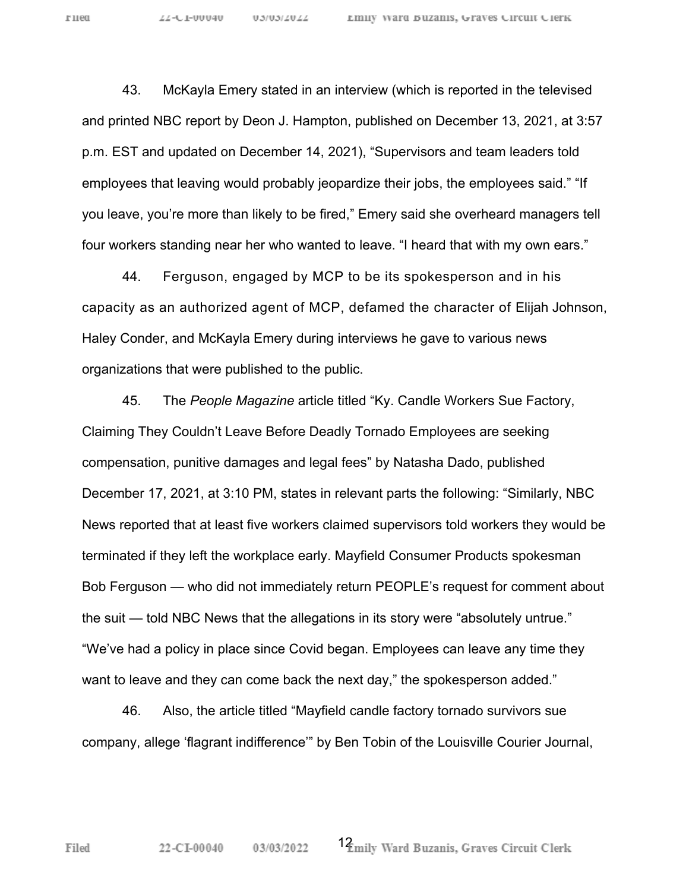43. McKayla Emery stated in an interview (which is reported in the televised and printed NBC report by Deon J. Hampton, published on December 13, 2021, at 3:57 p.m. EST and updated on December 14, 2021), "Supervisors and team leaders told employees that leaving would probably jeopardize their jobs, the employees said." "If you leave, you're more than likely to be fired," Emery said she overheard managers tell four workers standing near her who wanted to leave. "I heard that with my own ears."

44. Ferguson, engaged by MCP to be its spokesperson and in his capacity as an authorized agent of MCP, defamed the character of Elijah Johnson, Haley Conder, and McKayla Emery during interviews he gave to various news organizations that were published to the public.

45. The *People Magazine* article titled "Ky. Candle Workers Sue Factory, Claiming They Couldn't Leave Before Deadly Tornado Employees are seeking compensation, punitive damages and legal fees" by Natasha Dado, published December 17, 2021, at 3:10 PM, states in relevant parts the following: "Similarly, NBC News reported that at least five workers claimed supervisors told workers they would be terminated if they left the workplace early. Mayfield Consumer Products spokesman Bob Ferguson — who did not immediately return PEOPLE's request for comment about the suit — told NBC News that the allegations in its story were "absolutely untrue." "We've had a policy in place since Covid began. Employees can leave any time they want to leave and they can come back the next day," the spokesperson added."

46. Also, the article titled "Mayfield candle factory tornado survivors sue company, allege 'flagrant indifference'" by Ben Tobin of the Louisville Courier Journal,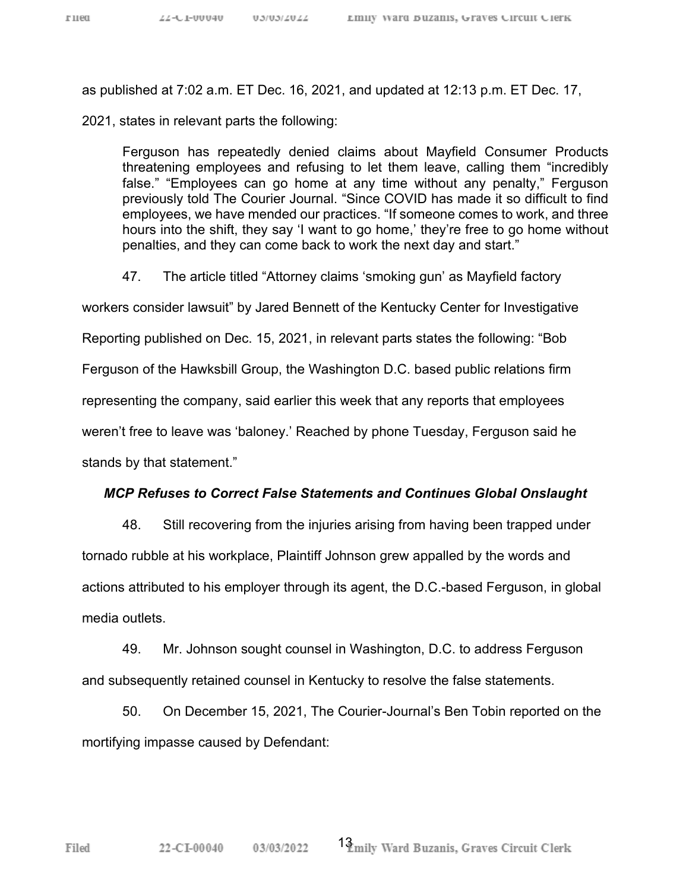as published at 7:02 a.m. ET Dec. 16, 2021, and updated at 12:13 p.m. ET Dec. 17,

2021, states in relevant parts the following:

Ferguson has repeatedly denied claims about Mayfield Consumer Products threatening employees and refusing to let them leave, calling them "incredibly false." "Employees can go home at any time without any penalty," Ferguson previously told The Courier Journal. "Since COVID has made it so difficult to find employees, we have mended our practices. "If someone comes to work, and three hours into the shift, they say 'I want to go home,' they're free to go home without penalties, and they can come back to work the next day and start."

47. The article titled "Attorney claims 'smoking gun' as Mayfield factory

workers consider lawsuit" by Jared Bennett of the Kentucky Center for Investigative

Reporting published on Dec. 15, 2021, in relevant parts states the following: "Bob

Ferguson of the Hawksbill Group, the Washington D.C. based public relations firm

representing the company, said earlier this week that any reports that employees

weren't free to leave was 'baloney.' Reached by phone Tuesday, Ferguson said he

stands by that statement."

### *MCP Refuses to Correct False Statements and Continues Global Onslaught*

48. Still recovering from the injuries arising from having been trapped under tornado rubble at his workplace, Plaintiff Johnson grew appalled by the words and actions attributed to his employer through its agent, the D.C.-based Ferguson, in global media outlets.

49. Mr. Johnson sought counsel in Washington, D.C. to address Ferguson and subsequently retained counsel in Kentucky to resolve the false statements.

50. On December 15, 2021, The Courier-Journal's Ben Tobin reported on the mortifying impasse caused by Defendant: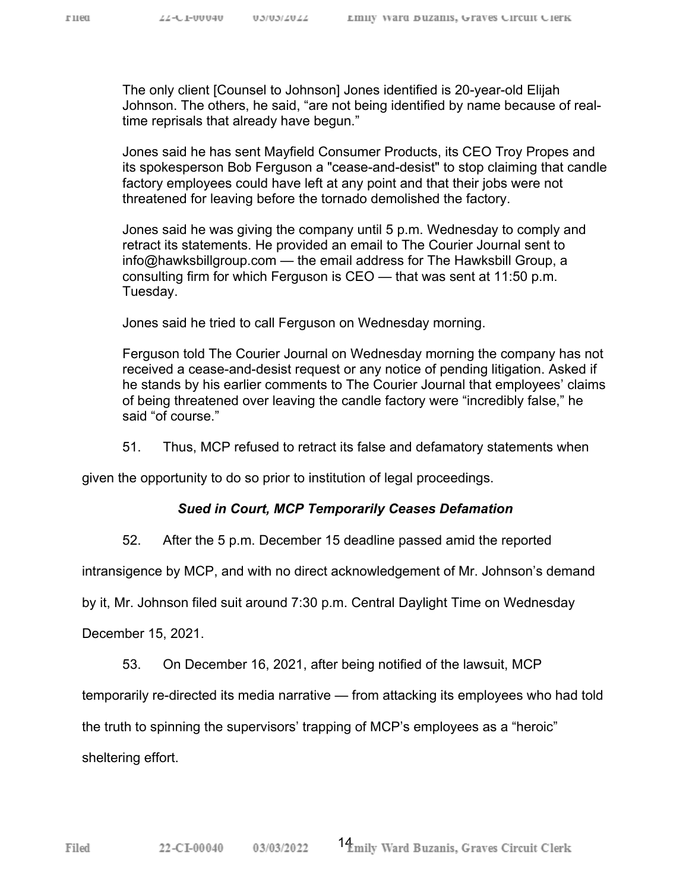The only client [Counsel to Johnson] Jones identified is 20-year-old Elijah Johnson. The others, he said, "are not being identified by name because of realtime reprisals that already have begun."

Jones said he has sent Mayfield Consumer Products, its CEO Troy Propes and its spokesperson Bob Ferguson a "cease-and-desist" to stop claiming that candle factory employees could have left at any point and that their jobs were not threatened for leaving before the tornado demolished the factory.

Jones said he was giving the company until 5 p.m. Wednesday to comply and retract its statements. He provided an email to The Courier Journal sent to info@hawksbillgroup.com — the email address for The Hawksbill Group, a consulting firm for which Ferguson is CEO — that was sent at 11:50 p.m. Tuesday.

Jones said he tried to call Ferguson on Wednesday morning.

Ferguson told The Courier Journal on Wednesday morning the company has not received a cease-and-desist request or any notice of pending litigation. Asked if he stands by his earlier comments to The Courier Journal that employees' claims of being threatened over leaving the candle factory were "incredibly false," he said "of course."

51. Thus, MCP refused to retract its false and defamatory statements when

given the opportunity to do so prior to institution of legal proceedings.

#### *Sued in Court, MCP Temporarily Ceases Defamation*

52. After the 5 p.m. December 15 deadline passed amid the reported

intransigence by MCP, and with no direct acknowledgement of Mr. Johnson's demand

by it, Mr. Johnson filed suit around 7:30 p.m. Central Daylight Time on Wednesday

December 15, 2021.

53. On December 16, 2021, after being notified of the lawsuit, MCP

temporarily re-directed its media narrative — from attacking its employees who had told

the truth to spinning the supervisors' trapping of MCP's employees as a "heroic"

sheltering effort.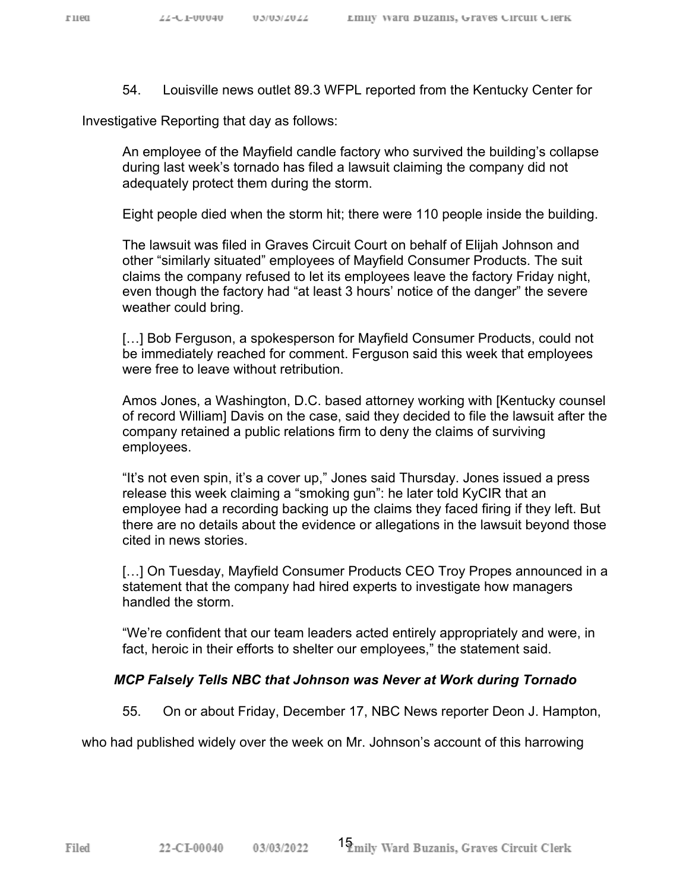54. Louisville news outlet 89.3 WFPL reported from the Kentucky Center for

Investigative Reporting that day as follows:

An employee of the Mayfield candle factory who survived the building's collapse during last week's tornado has filed a lawsuit claiming the company did not adequately protect them during the storm.

Eight people died when the storm hit; there were 110 people inside the building.

The lawsuit was filed in Graves Circuit Court on behalf of Elijah Johnson and other "similarly situated" employees of Mayfield Consumer Products. The suit claims the company refused to let its employees leave the factory Friday night, even though the factory had "at least 3 hours' notice of the danger" the severe weather could bring.

[...] Bob Ferguson, a spokesperson for Mayfield Consumer Products, could not be immediately reached for comment. Ferguson said this week that employees were free to leave without retribution.

Amos Jones, a Washington, D.C. based attorney working with [Kentucky counsel of record William] Davis on the case, said they decided to file the lawsuit after the company retained a public relations firm to deny the claims of surviving employees.

"It's not even spin, it's a cover up," Jones said Thursday. Jones issued a press release this week claiming a "smoking gun": he later told KyCIR that an employee had a recording backing up the claims they faced firing if they left. But there are no details about the evidence or allegations in the lawsuit beyond those cited in news stories.

[...] On Tuesday, Mayfield Consumer Products CEO Troy Propes announced in a statement that the company had hired experts to investigate how managers handled the storm.

"We're confident that our team leaders acted entirely appropriately and were, in fact, heroic in their efforts to shelter our employees," the statement said.

#### *MCP Falsely Tells NBC that Johnson was Never at Work during Tornado*

55. On or about Friday, December 17, NBC News reporter Deon J. Hampton,

who had published widely over the week on Mr. Johnson's account of this harrowing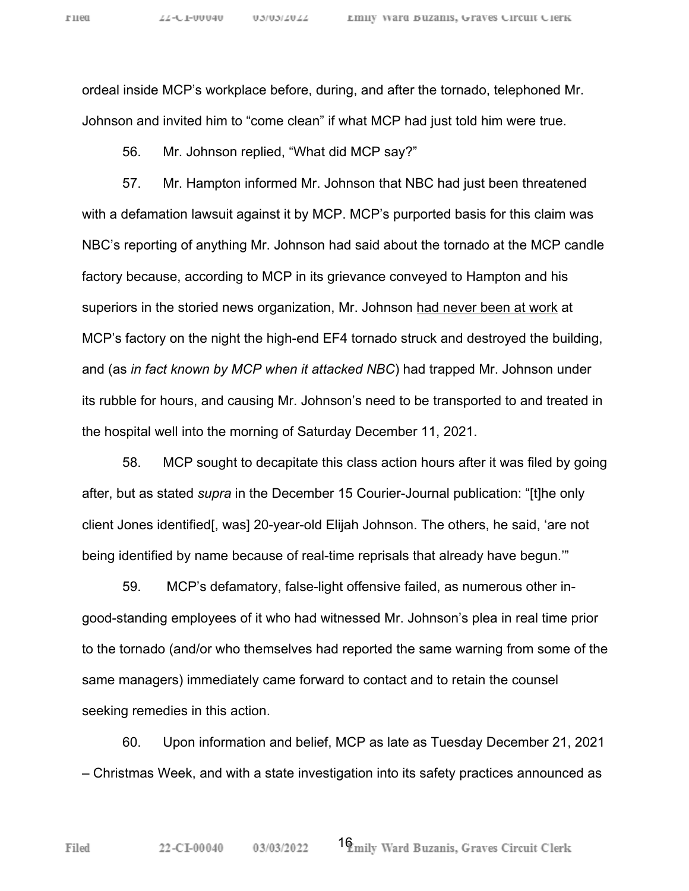ordeal inside MCP's workplace before, during, and after the tornado, telephoned Mr. Johnson and invited him to "come clean" if what MCP had just told him were true.

56. Mr. Johnson replied, "What did MCP say?"

57. Mr. Hampton informed Mr. Johnson that NBC had just been threatened with a defamation lawsuit against it by MCP. MCP's purported basis for this claim was NBC's reporting of anything Mr. Johnson had said about the tornado at the MCP candle factory because, according to MCP in its grievance conveyed to Hampton and his superiors in the storied news organization, Mr. Johnson had never been at work at MCP's factory on the night the high-end EF4 tornado struck and destroyed the building, and (as *in fact known by MCP when it attacked NBC*) had trapped Mr. Johnson under its rubble for hours, and causing Mr. Johnson's need to be transported to and treated in the hospital well into the morning of Saturday December 11, 2021.

58. MCP sought to decapitate this class action hours after it was filed by going after, but as stated *supra* in the December 15 Courier-Journal publication: "[t]he only client Jones identified[, was] 20-year-old Elijah Johnson. The others, he said, 'are not being identified by name because of real-time reprisals that already have begun.'"

59. MCP's defamatory, false-light offensive failed, as numerous other ingood-standing employees of it who had witnessed Mr. Johnson's plea in real time prior to the tornado (and/or who themselves had reported the same warning from some of the same managers) immediately came forward to contact and to retain the counsel seeking remedies in this action.

60. Upon information and belief, MCP as late as Tuesday December 21, 2021 – Christmas Week, and with a state investigation into its safety practices announced as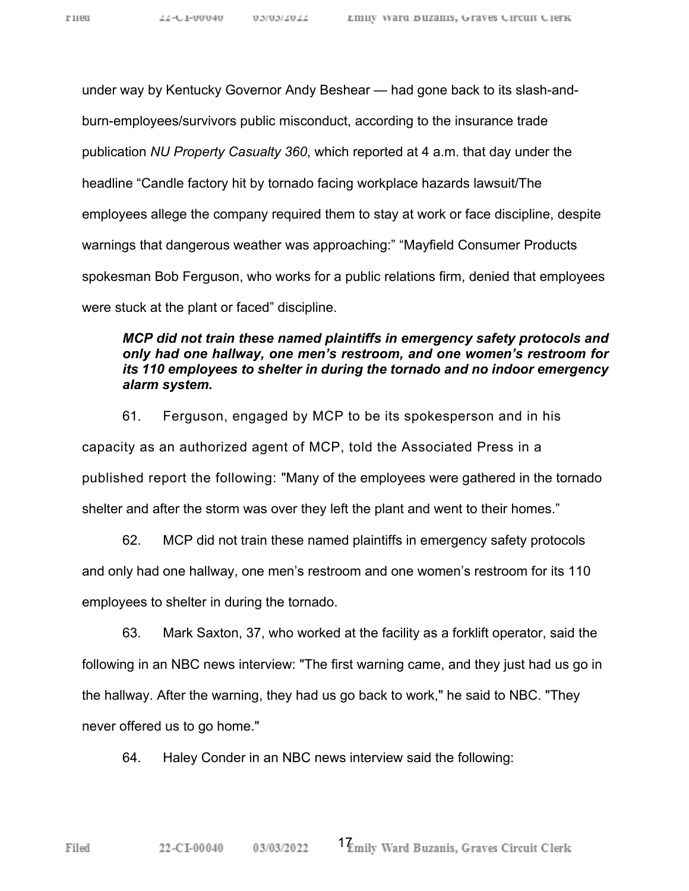under way by Kentucky Governor Andy Beshear — had gone back to its slash-andburn-employees/survivors public misconduct, according to the insurance trade publication *NU Property Casualty 360*, which reported at 4 a.m. that day under the headline "Candle factory hit by tornado facing workplace hazards lawsuit/The employees allege the company required them to stay at work or face discipline, despite warnings that dangerous weather was approaching:" "Mayfield Consumer Products spokesman Bob Ferguson, who works for a public relations firm, denied that employees were stuck at the plant or faced" discipline.

### *MCP did not train these named plaintiffs in emergency safety protocols and only had one hallway, one men's restroom, and one women's restroom for its 110 employees to shelter in during the tornado and no indoor emergency alarm system.*

61. Ferguson, engaged by MCP to be its spokesperson and in his capacity as an authorized agent of MCP, told the Associated Press in a published report the following: "Many of the employees were gathered in the tornado shelter and after the storm was over they left the plant and went to their homes."

62. MCP did not train these named plaintiffs in emergency safety protocols and only had one hallway, one men's restroom and one women's restroom for its 110 employees to shelter in during the tornado.

63. Mark Saxton, 37, who worked at the facility as a forklift operator, said the following in an NBC news interview: "The first warning came, and they just had us go in the hallway. After the warning, they had us go back to work," he said to NBC. "They never offered us to go home."

64. Haley Conder in an NBC news interview said the following: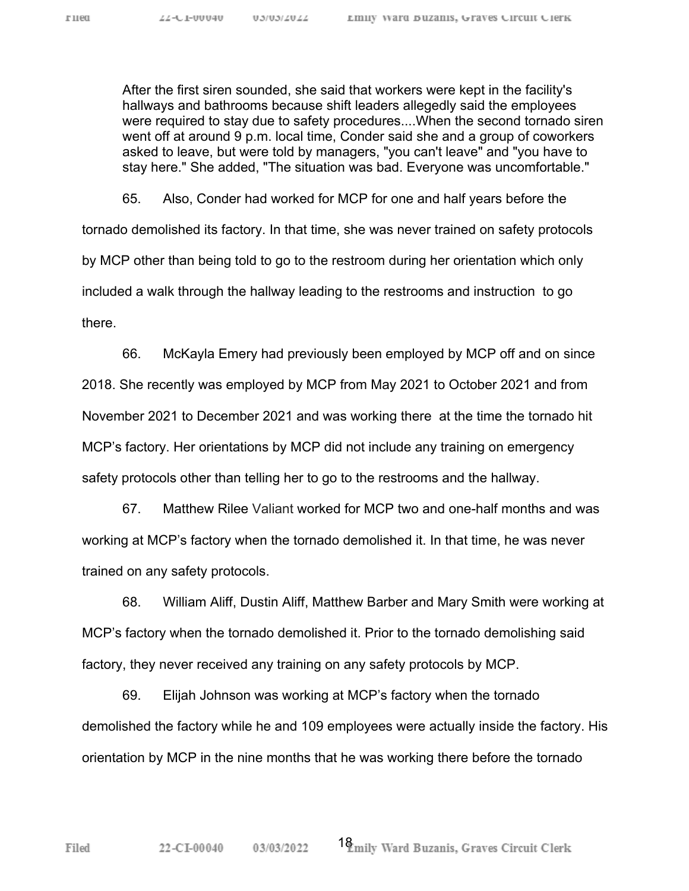After the first siren sounded, she said that workers were kept in the facility's hallways and bathrooms because shift leaders allegedly said the employees were required to stay due to safety procedures....When the second tornado siren went off at around 9 p.m. local time, Conder said she and a group of coworkers asked to leave, but were told by managers, "you can't leave" and "you have to stay here." She added, "The situation was bad. Everyone was uncomfortable."

65. Also, Conder had worked for MCP for one and half years before the tornado demolished its factory. In that time, she was never trained on safety protocols by MCP other than being told to go to the restroom during her orientation which only included a walk through the hallway leading to the restrooms and instruction to go there.

66. McKayla Emery had previously been employed by MCP off and on since 2018. She recently was employed by MCP from May 2021 to October 2021 and from November 2021 to December 2021 and was working there at the time the tornado hit MCP's factory. Her orientations by MCP did not include any training on emergency safety protocols other than telling her to go to the restrooms and the hallway.

67. Matthew Rilee Valiant worked for MCP two and one-half months and was working at MCP's factory when the tornado demolished it. In that time, he was never trained on any safety protocols.

68. William Aliff, Dustin Aliff, Matthew Barber and Mary Smith were working at MCP's factory when the tornado demolished it. Prior to the tornado demolishing said factory, they never received any training on any safety protocols by MCP.

69. Elijah Johnson was working at MCP's factory when the tornado demolished the factory while he and 109 employees were actually inside the factory. His orientation by MCP in the nine months that he was working there before the tornado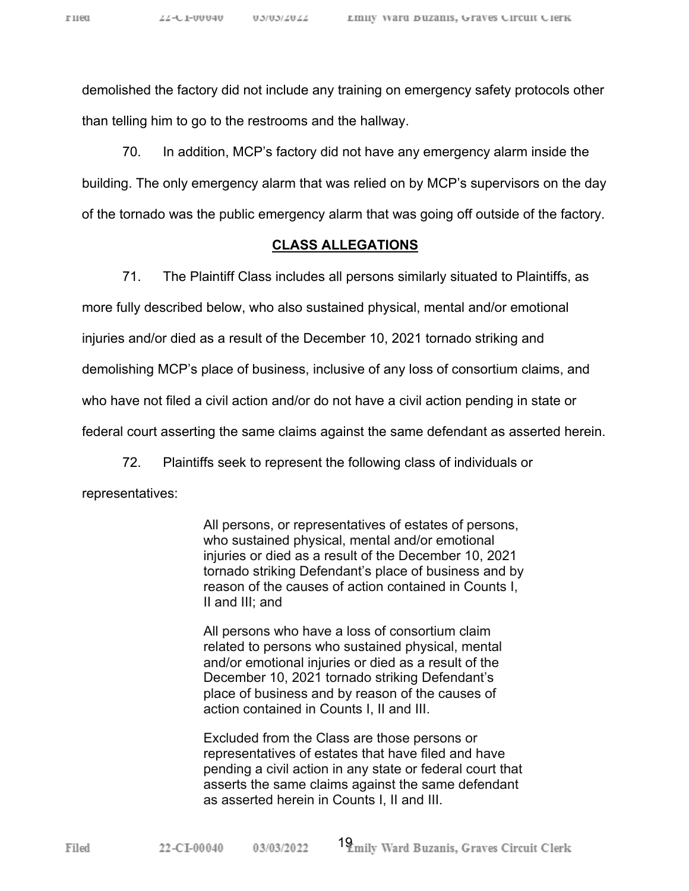Filed

demolished the factory did not include any training on emergency safety protocols other than telling him to go to the restrooms and the hallway.

70. In addition, MCP's factory did not have any emergency alarm inside the building. The only emergency alarm that was relied on by MCP's supervisors on the day of the tornado was the public emergency alarm that was going off outside of the factory.

#### **CLASS ALLEGATIONS**

71. The Plaintiff Class includes all persons similarly situated to Plaintiffs, as more fully described below, who also sustained physical, mental and/or emotional injuries and/or died as a result of the December 10, 2021 tornado striking and demolishing MCP's place of business, inclusive of any loss of consortium claims, and who have not filed a civil action and/or do not have a civil action pending in state or federal court asserting the same claims against the same defendant as asserted herein.

72. Plaintiffs seek to represent the following class of individuals or representatives:

> All persons, or representatives of estates of persons, who sustained physical, mental and/or emotional injuries or died as a result of the December 10, 2021 tornado striking Defendant's place of business and by reason of the causes of action contained in Counts I, II and III; and

All persons who have a loss of consortium claim related to persons who sustained physical, mental and/or emotional injuries or died as a result of the December 10, 2021 tornado striking Defendant's place of business and by reason of the causes of action contained in Counts I, II and III.

Excluded from the Class are those persons or representatives of estates that have filed and have pending a civil action in any state or federal court that asserts the same claims against the same defendant as asserted herein in Counts I, II and III.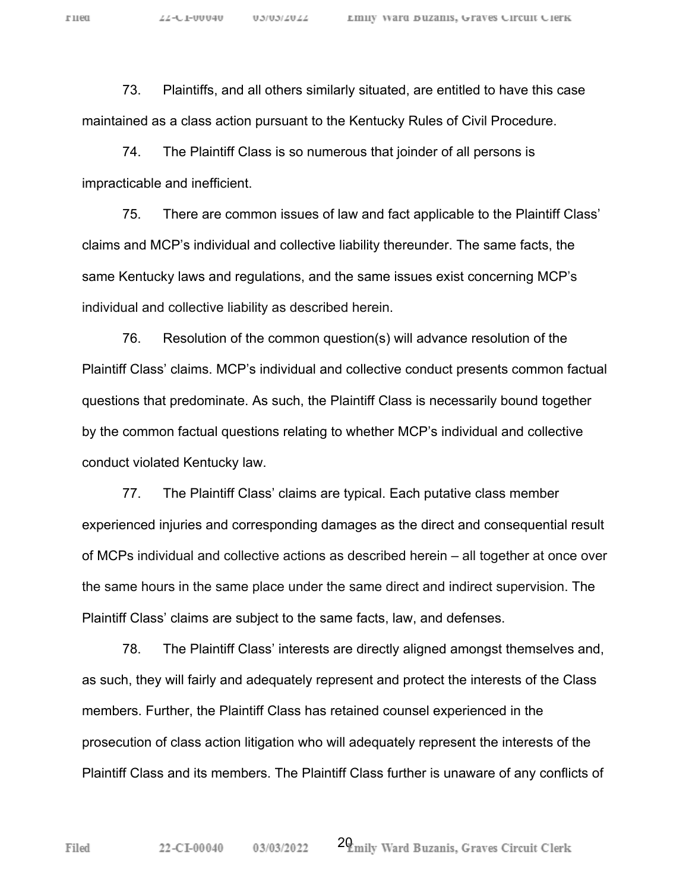73. Plaintiffs, and all others similarly situated, are entitled to have this case maintained as a class action pursuant to the Kentucky Rules of Civil Procedure.

74. The Plaintiff Class is so numerous that joinder of all persons is impracticable and inefficient.

75. There are common issues of law and fact applicable to the Plaintiff Class' claims and MCP's individual and collective liability thereunder. The same facts, the same Kentucky laws and regulations, and the same issues exist concerning MCP's individual and collective liability as described herein.

76. Resolution of the common question(s) will advance resolution of the Plaintiff Class' claims. MCP's individual and collective conduct presents common factual questions that predominate. As such, the Plaintiff Class is necessarily bound together by the common factual questions relating to whether MCP's individual and collective conduct violated Kentucky law.

77. The Plaintiff Class' claims are typical. Each putative class member experienced injuries and corresponding damages as the direct and consequential result of MCPs individual and collective actions as described herein – all together at once over the same hours in the same place under the same direct and indirect supervision. The Plaintiff Class' claims are subject to the same facts, law, and defenses.

78. The Plaintiff Class' interests are directly aligned amongst themselves and, as such, they will fairly and adequately represent and protect the interests of the Class members. Further, the Plaintiff Class has retained counsel experienced in the prosecution of class action litigation who will adequately represent the interests of the Plaintiff Class and its members. The Plaintiff Class further is unaware of any conflicts of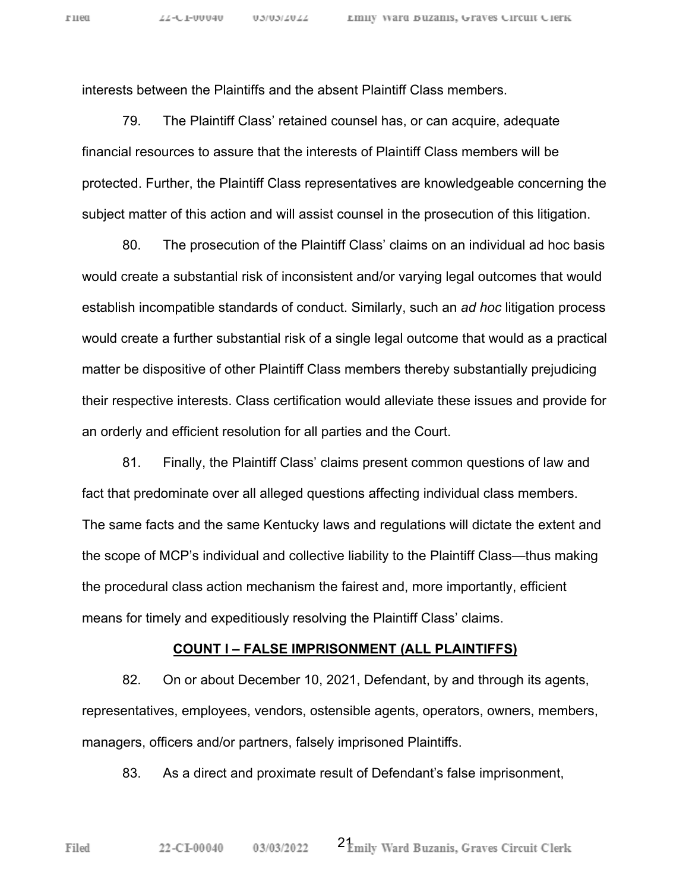interests between the Plaintiffs and the absent Plaintiff Class members.

79. The Plaintiff Class' retained counsel has, or can acquire, adequate financial resources to assure that the interests of Plaintiff Class members will be protected. Further, the Plaintiff Class representatives are knowledgeable concerning the subject matter of this action and will assist counsel in the prosecution of this litigation.

80. The prosecution of the Plaintiff Class' claims on an individual ad hoc basis would create a substantial risk of inconsistent and/or varying legal outcomes that would establish incompatible standards of conduct. Similarly, such an *ad hoc* litigation process would create a further substantial risk of a single legal outcome that would as a practical matter be dispositive of other Plaintiff Class members thereby substantially prejudicing their respective interests. Class certification would alleviate these issues and provide for an orderly and efficient resolution for all parties and the Court.

81. Finally, the Plaintiff Class' claims present common questions of law and fact that predominate over all alleged questions affecting individual class members. The same facts and the same Kentucky laws and regulations will dictate the extent and the scope of MCP's individual and collective liability to the Plaintiff Class—thus making the procedural class action mechanism the fairest and, more importantly, efficient means for timely and expeditiously resolving the Plaintiff Class' claims.

#### **COUNT I – FALSE IMPRISONMENT (ALL PLAINTIFFS)**

82. On or about December 10, 2021, Defendant, by and through its agents, representatives, employees, vendors, ostensible agents, operators, owners, members, managers, officers and/or partners, falsely imprisoned Plaintiffs.

83. As a direct and proximate result of Defendant's false imprisonment,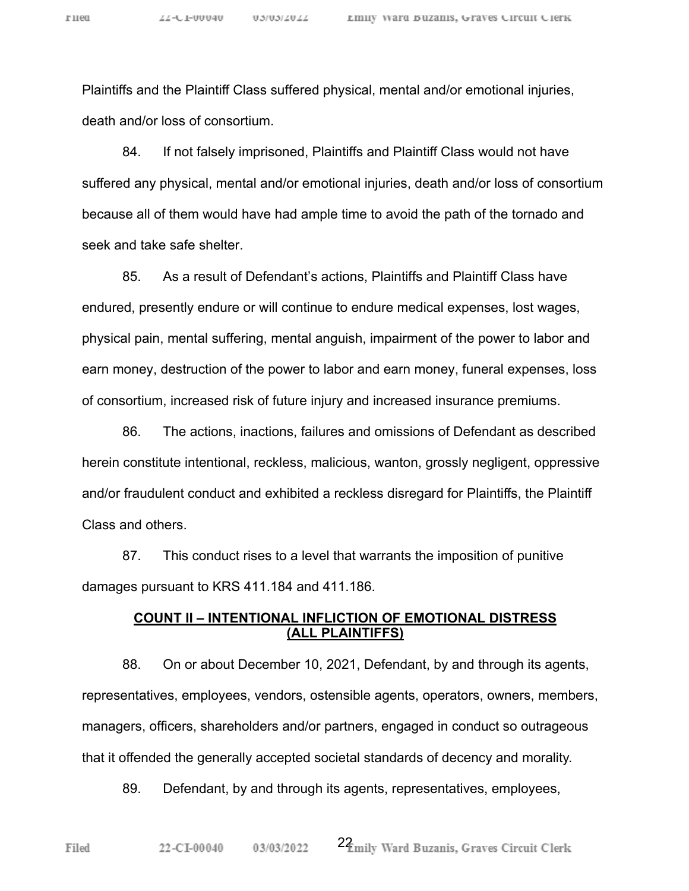Plaintiffs and the Plaintiff Class suffered physical, mental and/or emotional injuries, death and/or loss of consortium.

84. If not falsely imprisoned, Plaintiffs and Plaintiff Class would not have suffered any physical, mental and/or emotional injuries, death and/or loss of consortium because all of them would have had ample time to avoid the path of the tornado and seek and take safe shelter.

85. As a result of Defendant's actions, Plaintiffs and Plaintiff Class have endured, presently endure or will continue to endure medical expenses, lost wages, physical pain, mental suffering, mental anguish, impairment of the power to labor and earn money, destruction of the power to labor and earn money, funeral expenses, loss of consortium, increased risk of future injury and increased insurance premiums.

86. The actions, inactions, failures and omissions of Defendant as described herein constitute intentional, reckless, malicious, wanton, grossly negligent, oppressive and/or fraudulent conduct and exhibited a reckless disregard for Plaintiffs, the Plaintiff Class and others.

87. This conduct rises to a level that warrants the imposition of punitive damages pursuant to KRS 411.184 and 411.186.

#### **COUNT II – INTENTIONAL INFLICTION OF EMOTIONAL DISTRESS (ALL PLAINTIFFS)**

88. On or about December 10, 2021, Defendant, by and through its agents, representatives, employees, vendors, ostensible agents, operators, owners, members, managers, officers, shareholders and/or partners, engaged in conduct so outrageous that it offended the generally accepted societal standards of decency and morality.

89. Defendant, by and through its agents, representatives, employees,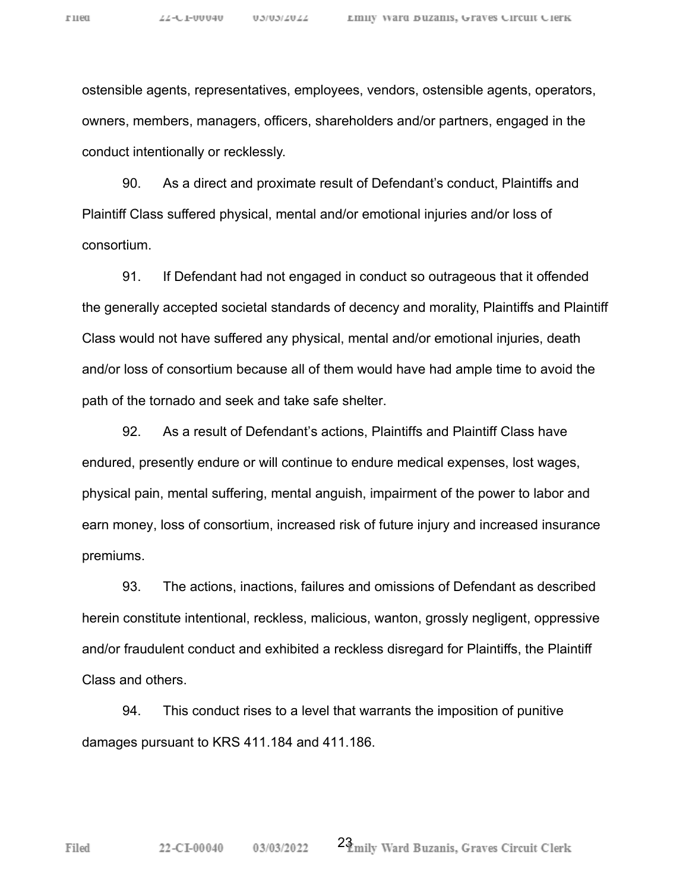ostensible agents, representatives, employees, vendors, ostensible agents, operators, owners, members, managers, officers, shareholders and/or partners, engaged in the conduct intentionally or recklessly.

90. As a direct and proximate result of Defendant's conduct, Plaintiffs and Plaintiff Class suffered physical, mental and/or emotional injuries and/or loss of consortium.

91. If Defendant had not engaged in conduct so outrageous that it offended the generally accepted societal standards of decency and morality, Plaintiffs and Plaintiff Class would not have suffered any physical, mental and/or emotional injuries, death and/or loss of consortium because all of them would have had ample time to avoid the path of the tornado and seek and take safe shelter.

92. As a result of Defendant's actions, Plaintiffs and Plaintiff Class have endured, presently endure or will continue to endure medical expenses, lost wages, physical pain, mental suffering, mental anguish, impairment of the power to labor and earn money, loss of consortium, increased risk of future injury and increased insurance premiums.

93. The actions, inactions, failures and omissions of Defendant as described herein constitute intentional, reckless, malicious, wanton, grossly negligent, oppressive and/or fraudulent conduct and exhibited a reckless disregard for Plaintiffs, the Plaintiff Class and others.

94. This conduct rises to a level that warrants the imposition of punitive damages pursuant to KRS 411.184 and 411.186.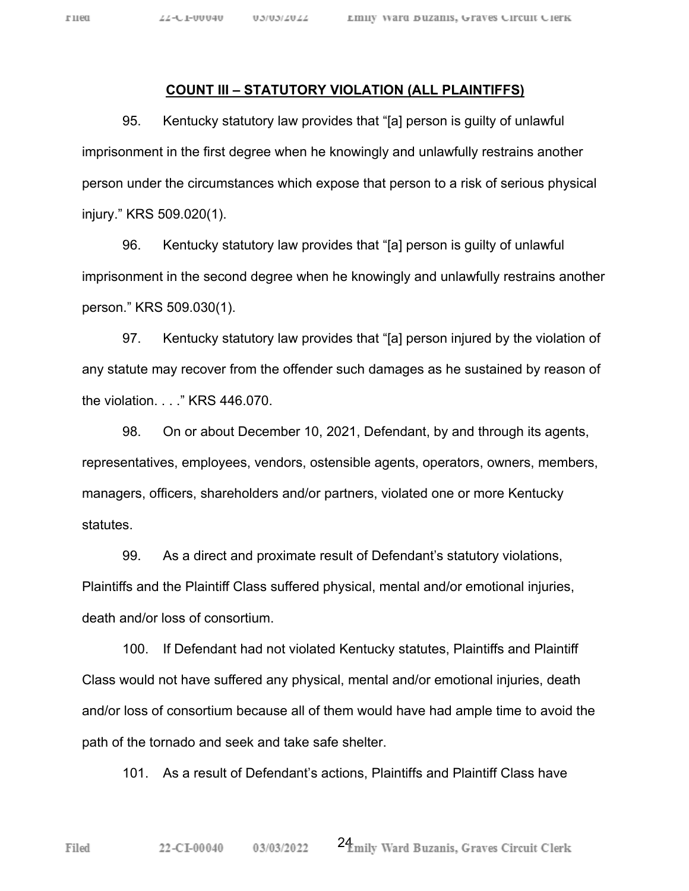#### **COUNT III – STATUTORY VIOLATION (ALL PLAINTIFFS)**

95. Kentucky statutory law provides that "[a] person is guilty of unlawful imprisonment in the first degree when he knowingly and unlawfully restrains another person under the circumstances which expose that person to a risk of serious physical injury." KRS 509.020(1).

96. Kentucky statutory law provides that "[a] person is guilty of unlawful imprisonment in the second degree when he knowingly and unlawfully restrains another person." KRS 509.030(1).

97. Kentucky statutory law provides that "[a] person injured by the violation of any statute may recover from the offender such damages as he sustained by reason of the violation. . . ." KRS 446.070.

98. On or about December 10, 2021, Defendant, by and through its agents, representatives, employees, vendors, ostensible agents, operators, owners, members, managers, officers, shareholders and/or partners, violated one or more Kentucky statutes.

99. As a direct and proximate result of Defendant's statutory violations, Plaintiffs and the Plaintiff Class suffered physical, mental and/or emotional injuries, death and/or loss of consortium.

100. If Defendant had not violated Kentucky statutes, Plaintiffs and Plaintiff Class would not have suffered any physical, mental and/or emotional injuries, death and/or loss of consortium because all of them would have had ample time to avoid the path of the tornado and seek and take safe shelter.

101. As a result of Defendant's actions, Plaintiffs and Plaintiff Class have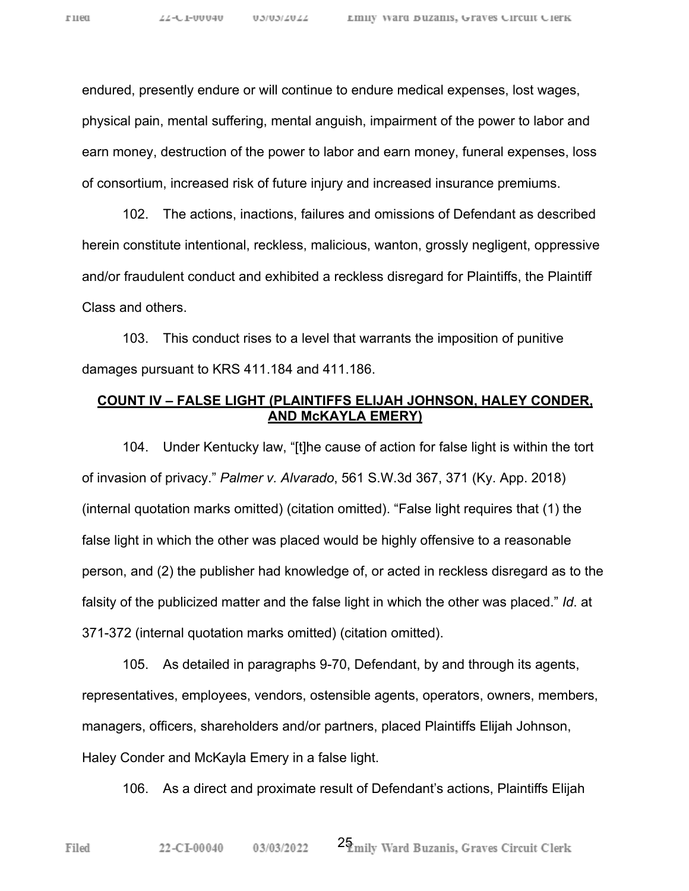endured, presently endure or will continue to endure medical expenses, lost wages, physical pain, mental suffering, mental anguish, impairment of the power to labor and earn money, destruction of the power to labor and earn money, funeral expenses, loss of consortium, increased risk of future injury and increased insurance premiums.

102. The actions, inactions, failures and omissions of Defendant as described herein constitute intentional, reckless, malicious, wanton, grossly negligent, oppressive and/or fraudulent conduct and exhibited a reckless disregard for Plaintiffs, the Plaintiff Class and others.

103. This conduct rises to a level that warrants the imposition of punitive damages pursuant to KRS 411.184 and 411.186.

# **COUNT IV – FALSE LIGHT (PLAINTIFFS ELIJAH JOHNSON, HALEY CONDER, AND McKAYLA EMERY)**

104. Under Kentucky law, "[t]he cause of action for false light is within the tort of invasion of privacy." *Palmer v. Alvarado*, 561 S.W.3d 367, 371 (Ky. App. 2018) (internal quotation marks omitted) (citation omitted). "False light requires that (1) the false light in which the other was placed would be highly offensive to a reasonable person, and (2) the publisher had knowledge of, or acted in reckless disregard as to the falsity of the publicized matter and the false light in which the other was placed." *Id*. at 371-372 (internal quotation marks omitted) (citation omitted).

105. As detailed in paragraphs 9-70, Defendant, by and through its agents, representatives, employees, vendors, ostensible agents, operators, owners, members, managers, officers, shareholders and/or partners, placed Plaintiffs Elijah Johnson, Haley Conder and McKayla Emery in a false light.

106. As a direct and proximate result of Defendant's actions, Plaintiffs Elijah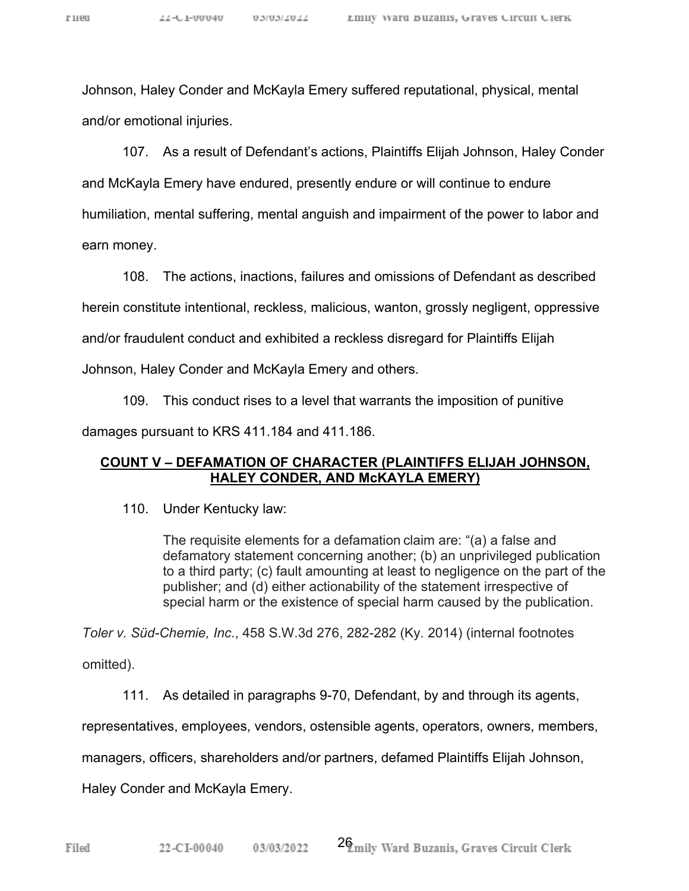Johnson, Haley Conder and McKayla Emery suffered reputational, physical, mental and/or emotional injuries.

107. As a result of Defendant's actions, Plaintiffs Elijah Johnson, Haley Conder and McKayla Emery have endured, presently endure or will continue to endure humiliation, mental suffering, mental anguish and impairment of the power to labor and

earn money.

108. The actions, inactions, failures and omissions of Defendant as described

herein constitute intentional, reckless, malicious, wanton, grossly negligent, oppressive

and/or fraudulent conduct and exhibited a reckless disregard for Plaintiffs Elijah

Johnson, Haley Conder and McKayla Emery and others.

109. This conduct rises to a level that warrants the imposition of punitive

damages pursuant to KRS 411.184 and 411.186.

#### **COUNT V – DEFAMATION OF CHARACTER (PLAINTIFFS ELIJAH JOHNSON, HALEY CONDER, AND McKAYLA EMERY)**

110. Under Kentucky law:

The requisite elements for a defamation claim are: "(a) a false and defamatory statement concerning another; (b) an unprivileged publication to a third party; (c) fault amounting at least to negligence on the part of the publisher; and (d) either actionability of the statement irrespective of special harm or the existence of special harm caused by the publication.

*Toler v. Süd-Chemie, Inc.*, 458 S.W.3d 276, 282-282 (Ky. 2014) (internal footnotes

omitted).

111. As detailed in paragraphs 9-70, Defendant, by and through its agents,

representatives, employees, vendors, ostensible agents, operators, owners, members,

managers, officers, shareholders and/or partners, defamed Plaintiffs Elijah Johnson,

Haley Conder and McKayla Emery.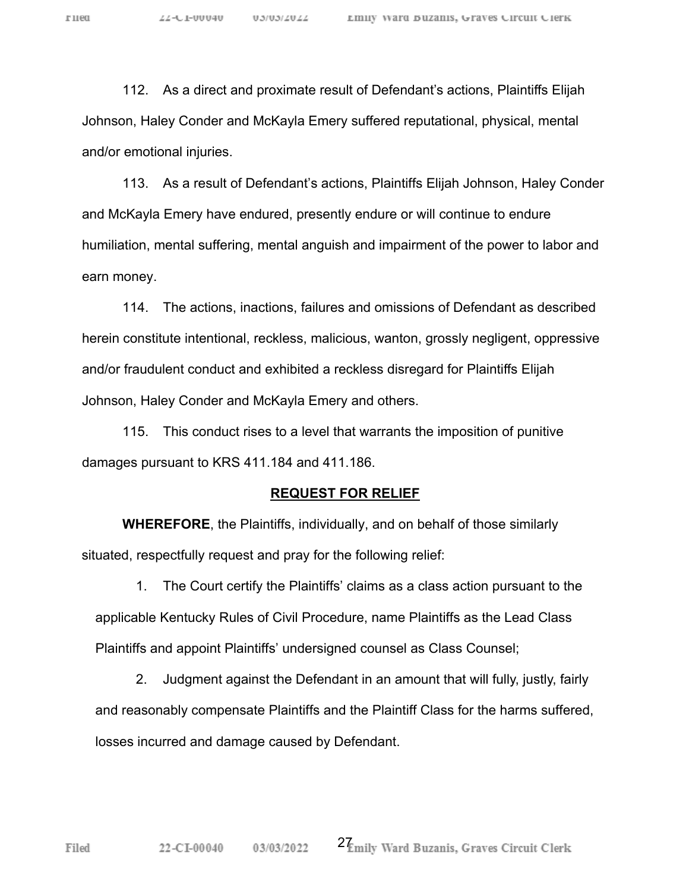112. As a direct and proximate result of Defendant's actions, Plaintiffs Elijah Johnson, Haley Conder and McKayla Emery suffered reputational, physical, mental and/or emotional injuries.

113. As a result of Defendant's actions, Plaintiffs Elijah Johnson, Haley Conder and McKayla Emery have endured, presently endure or will continue to endure humiliation, mental suffering, mental anguish and impairment of the power to labor and earn money.

114. The actions, inactions, failures and omissions of Defendant as described herein constitute intentional, reckless, malicious, wanton, grossly negligent, oppressive and/or fraudulent conduct and exhibited a reckless disregard for Plaintiffs Elijah Johnson, Haley Conder and McKayla Emery and others.

115. This conduct rises to a level that warrants the imposition of punitive damages pursuant to KRS 411.184 and 411.186.

#### **REQUEST FOR RELIEF**

 **WHEREFORE**, the Plaintiffs, individually, and on behalf of those similarly situated, respectfully request and pray for the following relief:

1. The Court certify the Plaintiffs' claims as a class action pursuant to the applicable Kentucky Rules of Civil Procedure, name Plaintiffs as the Lead Class Plaintiffs and appoint Plaintiffs' undersigned counsel as Class Counsel;

2. Judgment against the Defendant in an amount that will fully, justly, fairly and reasonably compensate Plaintiffs and the Plaintiff Class for the harms suffered, losses incurred and damage caused by Defendant.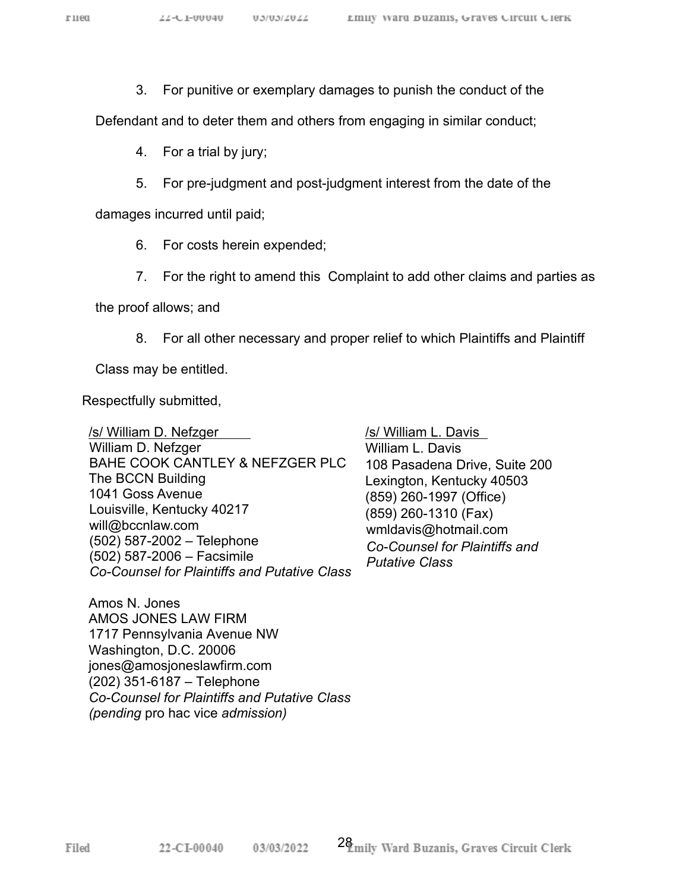3. For punitive or exemplary damages to punish the conduct of the

Defendant and to deter them and others from engaging in similar conduct;

4. For a trial by jury;

5. For pre-judgment and post-judgment interest from the date of the

damages incurred until paid;

- 6. For costs herein expended;
- 7. For the right to amend this Complaint to add other claims and parties as

the proof allows; and

8. For all other necessary and proper relief to which Plaintiffs and Plaintiff

Class may be entitled.

Respectfully submitted,

/s/ William D. Nefzger William D. Nefzger BAHE COOK CANTLEY & NEFZGER PLC The BCCN Building 1041 Goss Avenue Louisville, Kentucky 40217 will@bccnlaw.com (502) 587-2002 – Telephone (502) 587-2006 – Facsimile *Co-Counsel for Plaintiffs and Putative Class*

Amos N. Jones AMOS JONES LAW FIRM 1717 Pennsylvania Avenue NW Washington, D.C. 20006 jones@amosjoneslawfirm.com (202) 351-6187 – Telephone *Co-Counsel for Plaintiffs and Putative Class (pending* pro hac vice *admission)*

/s/ William L. Davis William L. Davis 108 Pasadena Drive, Suite 200 Lexington, Kentucky 40503 (859) 260-1997 (Office) (859) 260-1310 (Fax) wmldavis@hotmail.com *Co-Counsel for Plaintiffs and Putative Class*

Filed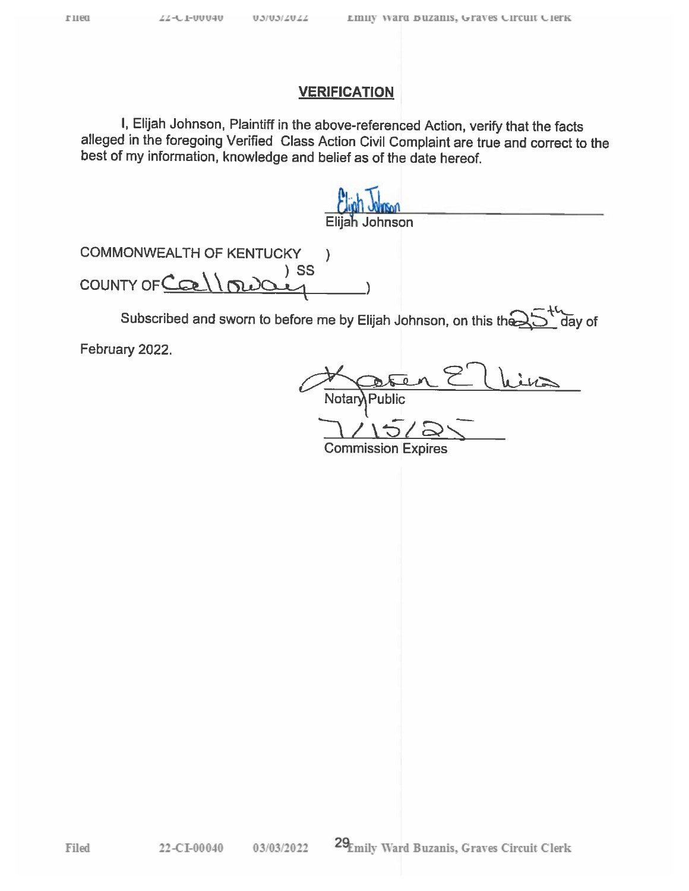I, Elijah Johnson, Plaintiff in the above-referenced Action, verify that the facts alleged in the foregoing Verified Class Action Civil Complaint are true and correct to the best of my information, knowledge and belief as of the date hereof.

Elijah Johnson

**COMMONWEALTH OF KENTUCKY**  $\mathcal{E}$  $)$  SS COUNTY OF Collou

Subscribed and sworn to before me by Elijah Johnson, on this the day of

February 2022.

Filed

Notan <sup>o</sup>ublic

**Commission Expires**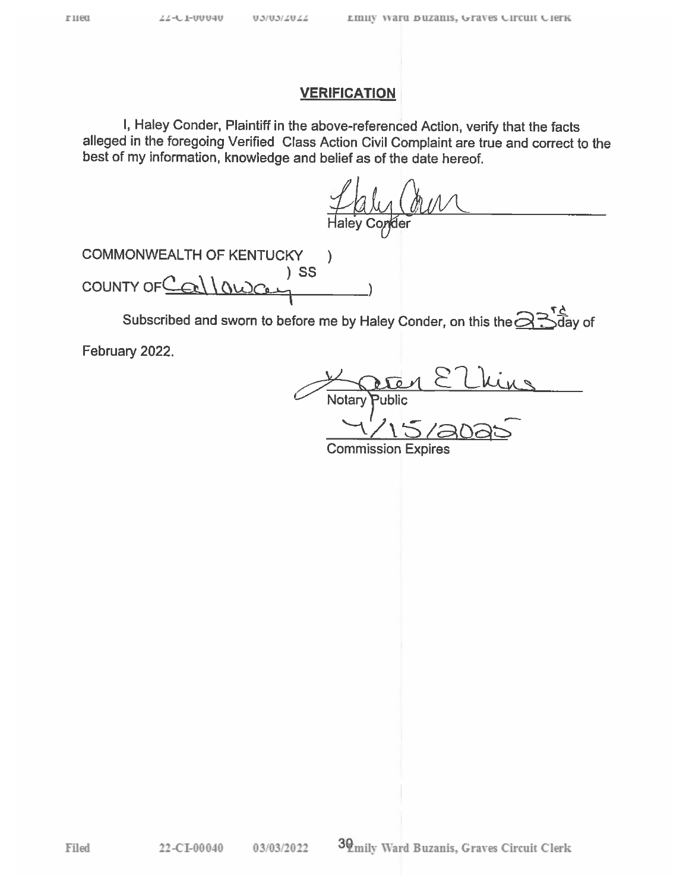I, Haley Conder, Plaintiff in the above-referenced Action, verify that the facts alleged in the foregoing Verified Class Action Civil Complaint are true and correct to the best of my information, knowledge and belief as of the date hereof.

Taly Commer

**COMMONWEALTH OF KENTUCKY**  $\mathcal{E}$  $)$  SS COUNTY OF $C$  $\mathcal{L}$ 

Subscribed and sworn to before me by Haley Conder, on this the  $\widehat{\mathfrak{S}}$ . ,ਰੋay of

February 2022.

 $\frac{1}{\sqrt{1-\frac{1}{2}}\left(1-\frac{1}{2}\right)}=\frac{1}{2\sqrt{1-\frac{1}{2}}\left(1-\frac{1}{2}\right)}=\frac{1}{2\sqrt{1-\frac{1}{2}}\left(1-\frac{1}{2}\right)}=\frac{1}{2\sqrt{1-\frac{1}{2}}\left(1-\frac{1}{2}\right)}=\frac{1}{2\sqrt{1-\frac{1}{2}}\left(1-\frac{1}{2}\right)}=\frac{1}{2\sqrt{1-\frac{1}{2}}\left(1-\frac{1}{2}\right)}=\frac{1}{2\sqrt{1-\frac{1}{2}}\left(1-\frac{1}{2}\right)}=\frac{1}{2\sqrt{1-\$ Notary **Commission Expires**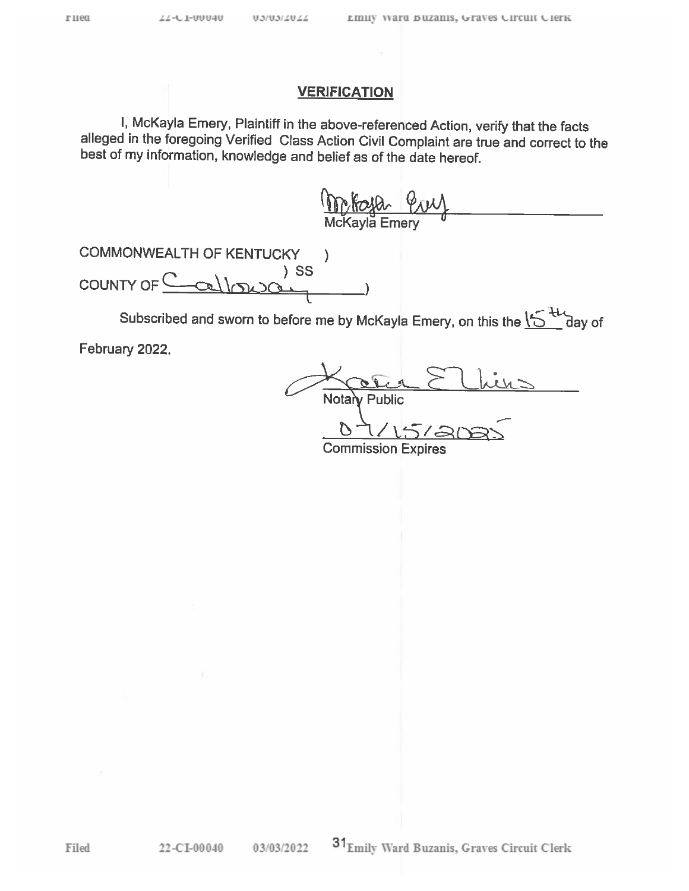I, McKayla Emery, Plaintiff in the above-referenced Action, verify that the facts alleged in the foregoing Verified Class Action Civil Complaint are true and correct to the best of my information, knowledge and belief as of the date hereof.

<u>Molla Puy</u>

**COMMONWEALTH OF KENTUCKY**  $\mathcal{E}$  $)$  SS COUNTY OF  $\subseteq$  $clln20$ 

Subscribed and sworn to before me by McKayla Emery, on this the  $\sum_{i=1}^{N}$  day of

February 2022.

Lucy Notai **Public** 

**Commission Expires**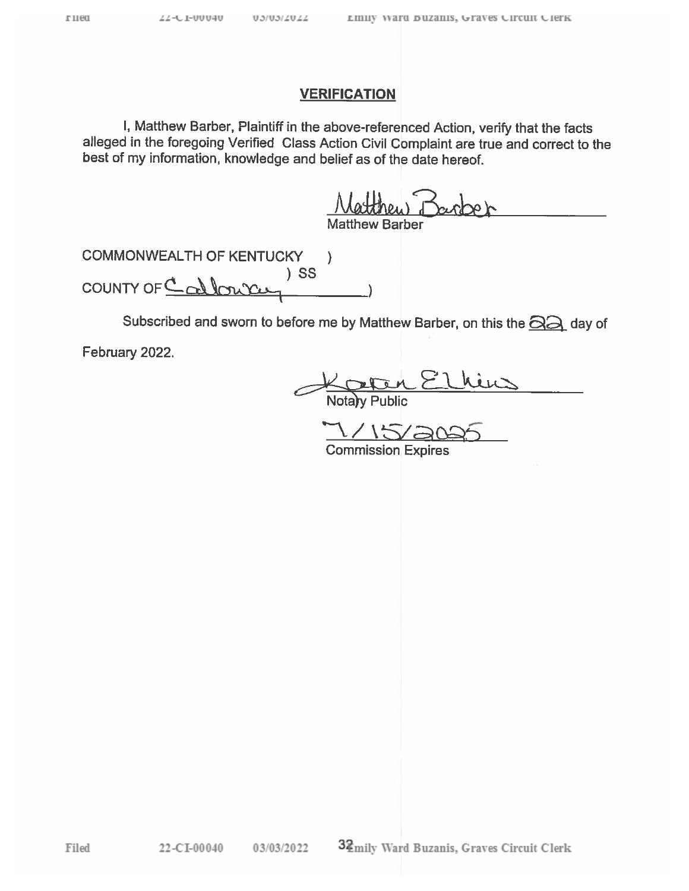I, Matthew Barber, Plaintiff in the above-referenced Action, verify that the facts alleged in the foregoing Verified Class Action Civil Complaint are true and correct to the best of my information, knowledge and belief as of the date hereof.

atthew Barber

**COMMONWEALTH OF KENTUCKY**  $\lambda$  $)$  SS COUNTY OF Callows

Subscribed and sworn to before me by Matthew Barber, on this the **SA** day of

February 2022.

Filed

Notary Public<br>Notary Public<br>7/15/2025

**Commission Expires**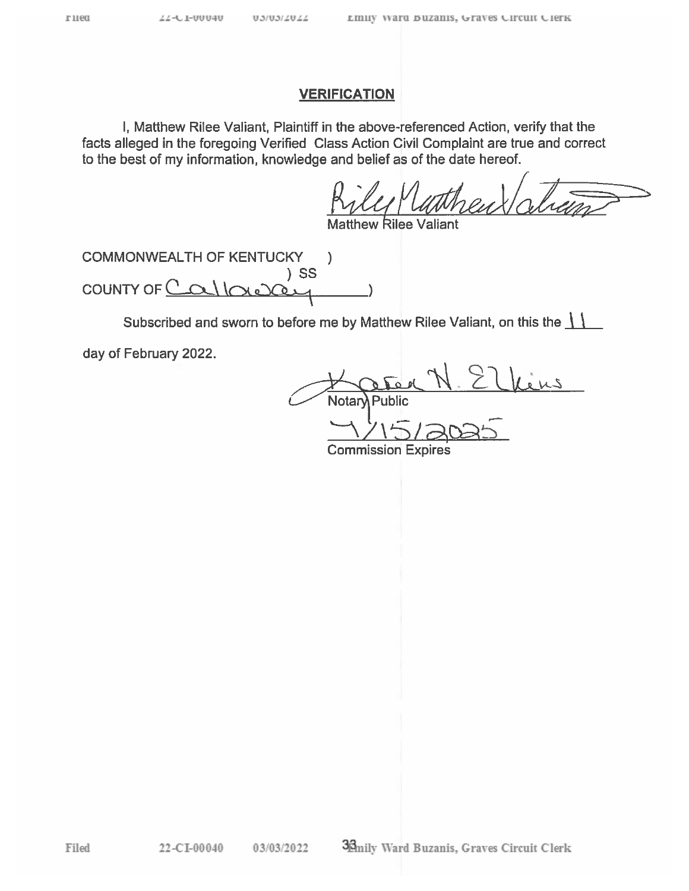Filed

### **VERIFICATION**

I, Matthew Rilee Valiant, Plaintiff in the above-referenced Action, verify that the facts alleged in the foregoing Verified Class Action Civil Complaint are true and correct to the best of my information, knowledge and belief as of the date hereof.

**COMMONWEALTH OF KENTUCKY**  $\lambda$  $)$  SS COUNTY OF  $C$ 

Subscribed and sworn to before me by Matthew Rilee Valiant, on this the  $\frac{1}{1}$ 

day of February 2022.

Notar

**Commission Expires**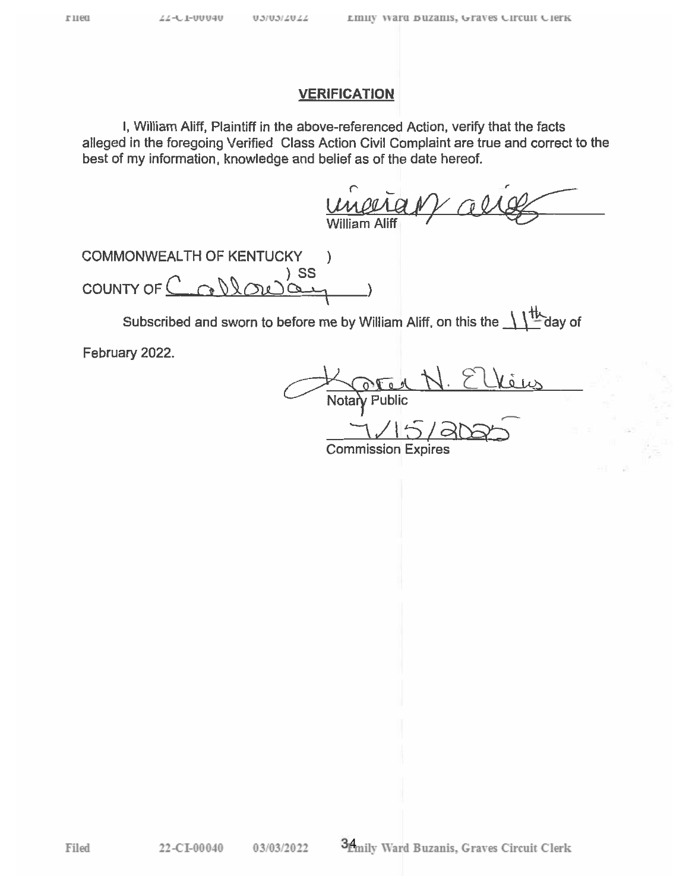I, William Aliff, Plaintiff in the above-referenced Action, verify that the facts alleged in the foregoing Verified Class Action Civil Complaint are true and correct to the best of my information, knowledge and belief as of the date hereof.

unerian

COMMONWEALTH OF KENTUCKY j,  $)$  SS COUNTY OF  $\subseteq$  $\mathcal{C}$ 

Subscribed and sworn to before me by William Aliff, on this the  $\frac{1}{1!}$  day of

February 2022.

Notar

**Commission Expires** 

Filed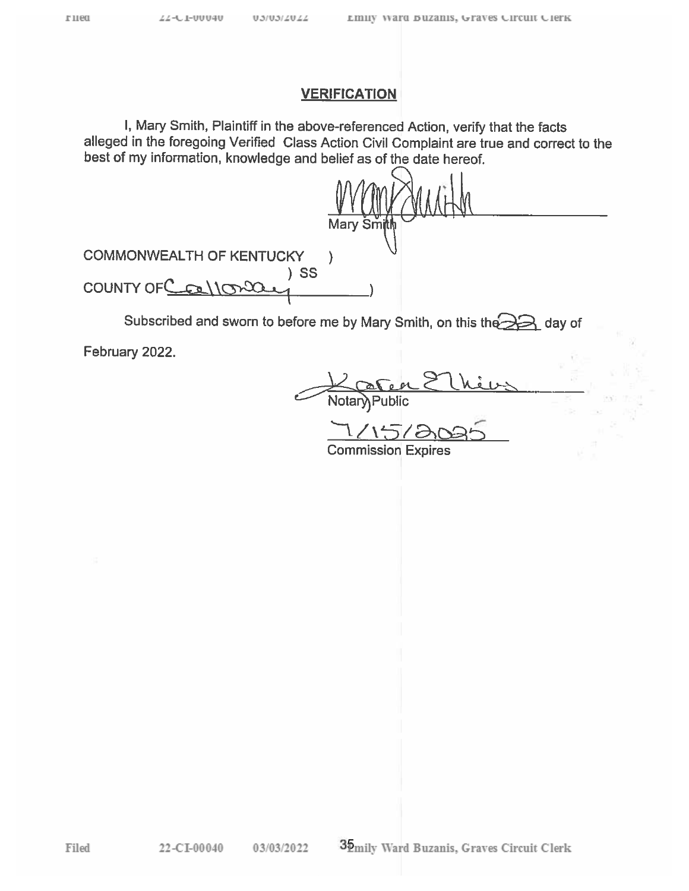I, Mary Smith, Plaintiff in the above-referenced Action, verify that the facts alleged in the foregoing Verified Class Action Civil Complaint are true and correct to the best of my information, knowledge and belief as of the date hereof.

|                                 | Mary Smith |
|---------------------------------|------------|
| <b>COMMONWEALTH OF KENTUCKY</b> |            |
| )SS<br>COUNTY OF Collored       |            |
|                                 |            |

Subscribed and sworn to before me by Mary Smith, on this the and day of

February 2022.

Public

**Commission Expires**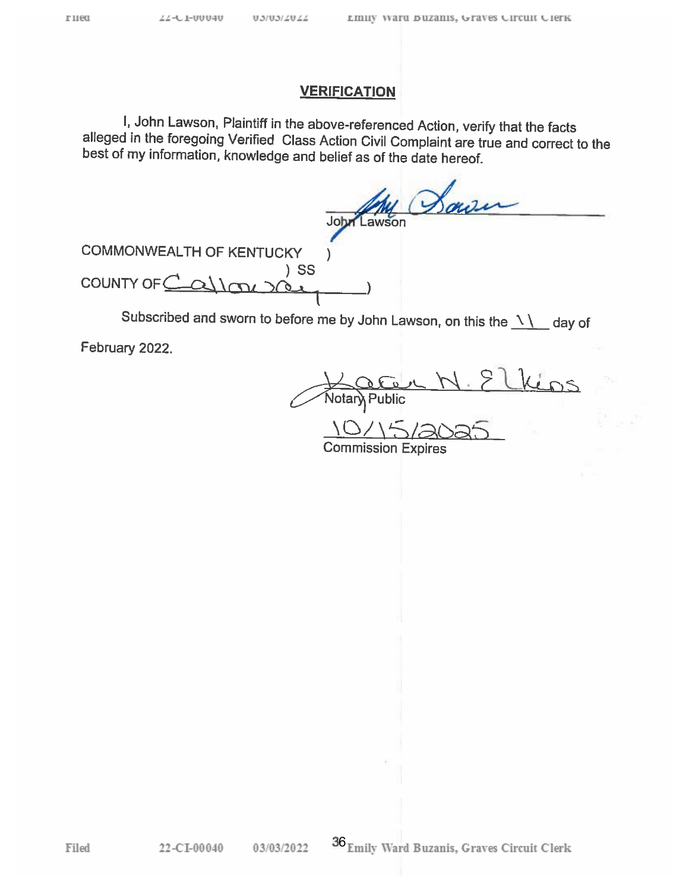I, John Lawson, Plaintiff in the above-referenced Action, verify that the facts alleged in the foregoing Verified Class Action Civil Complaint are true and correct to the best of my information, knowledge and belief as of the date hereof.

Sow John Lawson

**COMMONWEALTH OF KENTUCKY**  $)$  SS **COUNTY OF**  $\Omega$  $\sqrt{9}$ 

Subscribed and sworn to before me by John Lawson, on this the  $\frac{1}{1}$ day of

February 2022.

Public

**Commission Expires** 

Filed